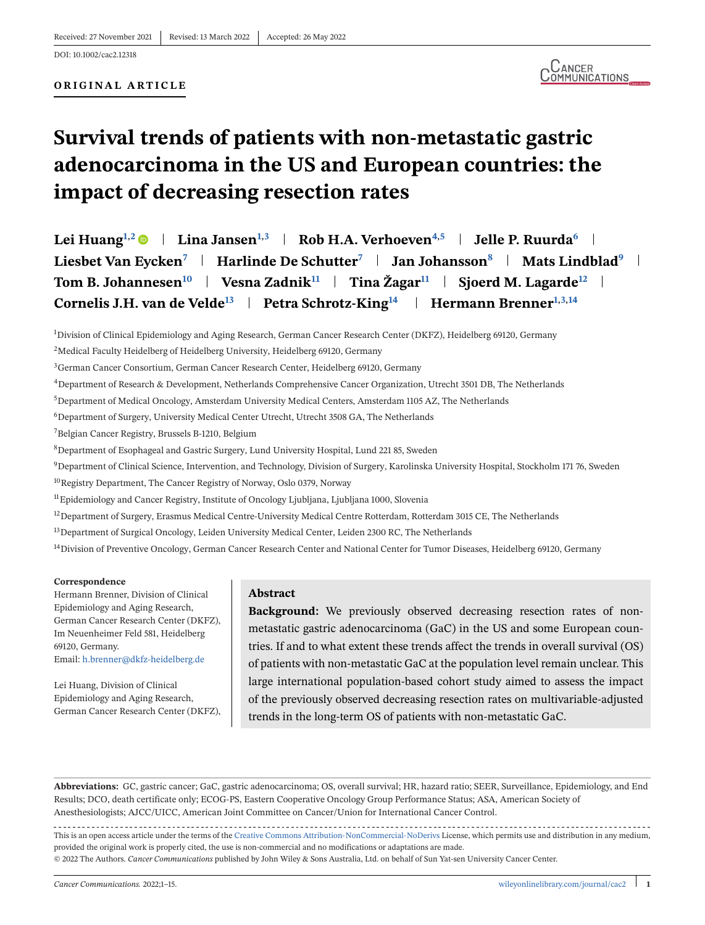# **Survival trends of patients with non-metastatic gastric adenocarcinoma in the US and European countries: the impact of decreasing resection rates**

**Lei Huang**<sup>1,2</sup>  $\bullet$  | **Lina Jansen**<sup>1,3</sup> | **Rob H.A. Verhoeven**<sup>4,5</sup> | **Jelle P. Ruurda**<sup>6</sup> | **Liesbet Van Eycken<sup>7</sup> | Harlinde De Schutter<sup>7</sup> | Jan Johansson<sup>8</sup> | Mats Lindblad<sup>9</sup> | Tom B. Johannesen<sup>10</sup> | Vesna Zadnik<sup>11</sup> | Tina Žagar<sup>11</sup> | Sjoerd M. Lagarde<sup>12</sup> | Cornelis J.H. van de Velde<sup>13</sup> | Petra Schrotz-King<sup>14</sup> | Hermann Brenner<sup>1,3,14</sup>** 

1 Division of Clinical Epidemiology and Aging Research, German Cancer Research Center (DKFZ), Heidelberg 69120, Germany

4Department of Research & Development, Netherlands Comprehensive Cancer Organization, Utrecht 3501 DB, The Netherlands

5Department of Medical Oncology, Amsterdam University Medical Centers, Amsterdam 1105 AZ, The Netherlands

 $6$ Department of Surgery, University Medical Center Utrecht, Utrecht 3508 GA, The Netherlands

7Belgian Cancer Registry, Brussels B-1210, Belgium

8Department of Esophageal and Gastric Surgery, Lund University Hospital, Lund 221 85, Sweden

<sup>9</sup>Department of Clinical Science, Intervention, and Technology, Division of Surgery, Karolinska University Hospital, Stockholm 171 76, Sweden

<sup>10</sup>Registry Department, The Cancer Registry of Norway, Oslo 0379, Norway

<sup>11</sup>Epidemiology and Cancer Registry, Institute of Oncology Ljubljana, Ljubljana 1000, Slovenia

<sup>12</sup>Department of Surgery, Erasmus Medical Centre-University Medical Centre Rotterdam, Rotterdam 3015 CE, The Netherlands

<sup>13</sup>Department of Surgical Oncology, Leiden University Medical Center, Leiden 2300 RC, The Netherlands

<sup>14</sup>Division of Preventive Oncology, German Cancer Research Center and National Center for Tumor Diseases, Heidelberg 69120, Germany

#### **Correspondence**

Hermann Brenner, Division of Clinical Epidemiology and Aging Research, German Cancer Research Center (DKFZ), Im Neuenheimer Feld 581, Heidelberg 69120, Germany. Email: [h.brenner@dkfz-heidelberg.de](mailto:h.brenner@dkfz-heidelberg.de)

Lei Huang, Division of Clinical Epidemiology and Aging Research, German Cancer Research Center (DKFZ),

#### **Abstract**

**Background:** We previously observed decreasing resection rates of nonmetastatic gastric adenocarcinoma (GaC) in the US and some European countries. If and to what extent these trends affect the trends in overall survival (OS) of patients with non-metastatic GaC at the population level remain unclear. This large international population-based cohort study aimed to assess the impact of the previously observed decreasing resection rates on multivariable-adjusted trends in the long-term OS of patients with non-metastatic GaC.

**Abbreviations:** GC, gastric cancer; GaC, gastric adenocarcinoma; OS, overall survival; HR, hazard ratio; SEER, Surveillance, Epidemiology, and End Results; DCO, death certificate only; ECOG-PS, Eastern Cooperative Oncology Group Performance Status; ASA, American Society of Anesthesiologists; AJCC/UICC, American Joint Committee on Cancer/Union for International Cancer Control.

This is an open access article under the terms of the [Creative Commons Attribution-NonCommercial-NoDerivs](http://creativecommons.org/licenses/by-nc-nd/4.0/) License, which permits use and distribution in any medium, provided the original work is properly cited, the use is non-commercial and no modifications or adaptations are made.

© 2022 The Authors. *Cancer Communications* published by John Wiley & Sons Australia, Ltd. on behalf of Sun Yat-sen University Cancer Center.

<sup>&</sup>lt;sup>2</sup>Medical Faculty Heidelberg of Heidelberg University, Heidelberg 69120, Germany

<sup>&</sup>lt;sup>3</sup>German Cancer Consortium, German Cancer Research Center, Heidelberg 69120, Germany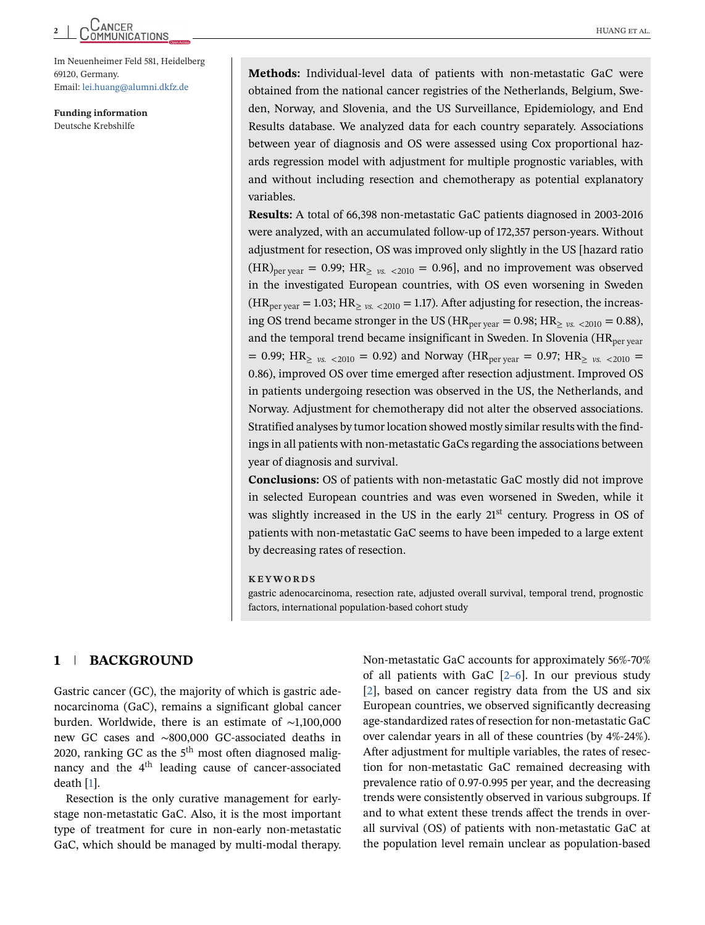# CANCER<br>
MUANG ET AL.

Im Neuenheimer Feld 581, Heidelberg 69120, Germany. Email: [lei.huang@alumni.dkfz.de](mailto:lei.huang@alumni.dkfz.de)

**Funding information** Deutsche Krebshilfe

**Methods:** Individual-level data of patients with non-metastatic GaC were obtained from the national cancer registries of the Netherlands, Belgium, Sweden, Norway, and Slovenia, and the US Surveillance, Epidemiology, and End Results database. We analyzed data for each country separately. Associations between year of diagnosis and OS were assessed using Cox proportional hazards regression model with adjustment for multiple prognostic variables, with and without including resection and chemotherapy as potential explanatory variables.

**Results:** A total of 66,398 non-metastatic GaC patients diagnosed in 2003-2016 were analyzed, with an accumulated follow-up of 172,357 person-years. Without adjustment for resection, OS was improved only slightly in the US [hazard ratio  $(HR)_{per \text{year}} = 0.99$ ;  $HR_{\geq y_s}$ ,  $\langle 2010 = 0.96$ ], and no improvement was observed in the investigated European countries, with OS even worsening in Sweden  $(HR_{\text{per year}} = 1.03; HR_{> \nu s} < 2010 = 1.17)$ . After adjusting for resection, the increasing OS trend became stronger in the US ( $HR_{per \text{year}} = 0.98$ ;  $HR_{> \text{vx}} \leq 2010 = 0.88$ ), and the temporal trend became insignificant in Sweden. In Slovenia ( $HR<sub>per</sub>$ <sub>vear</sub>  $= 0.99$ ; HR<sub> $\geq$  *vs.* <2010 = 0.92) and Norway (HR<sub>per year</sub> = 0.97; HR<sub> $\geq$ </sub> *vs.* <2010 =</sub> 0.86), improved OS over time emerged after resection adjustment. Improved OS in patients undergoing resection was observed in the US, the Netherlands, and Norway. Adjustment for chemotherapy did not alter the observed associations. Stratified analyses by tumor location showed mostly similar results with the findings in all patients with non-metastatic GaCs regarding the associations between year of diagnosis and survival.

**Conclusions:** OS of patients with non-metastatic GaC mostly did not improve in selected European countries and was even worsened in Sweden, while it was slightly increased in the US in the early 21<sup>st</sup> century. Progress in OS of patients with non-metastatic GaC seems to have been impeded to a large extent by decreasing rates of resection.

#### **KEYWORDS**

gastric adenocarcinoma, resection rate, adjusted overall survival, temporal trend, prognostic factors, international population-based cohort study

# **1 BACKGROUND**

Gastric cancer (GC), the majority of which is gastric adenocarcinoma (GaC), remains a significant global cancer burden. Worldwide, there is an estimate of ∼1,100,000 new GC cases and ∼800,000 GC-associated deaths in 2020, ranking GC as the  $5<sup>th</sup>$  most often diagnosed malignancy and the  $4<sup>th</sup>$  leading cause of cancer-associated death [\[1\]](#page-13-0).

Resection is the only curative management for earlystage non-metastatic GaC. Also, it is the most important type of treatment for cure in non-early non-metastatic GaC, which should be managed by multi-modal therapy.

Non-metastatic GaC accounts for approximately 56%-70% of all patients with GaC  $[2-6]$ . In our previous study [\[2\]](#page-13-0), based on cancer registry data from the US and six European countries, we observed significantly decreasing age-standardized rates of resection for non-metastatic GaC over calendar years in all of these countries (by 4%-24%). After adjustment for multiple variables, the rates of resection for non-metastatic GaC remained decreasing with prevalence ratio of 0.97-0.995 per year, and the decreasing trends were consistently observed in various subgroups. If and to what extent these trends affect the trends in overall survival (OS) of patients with non-metastatic GaC at the population level remain unclear as population-based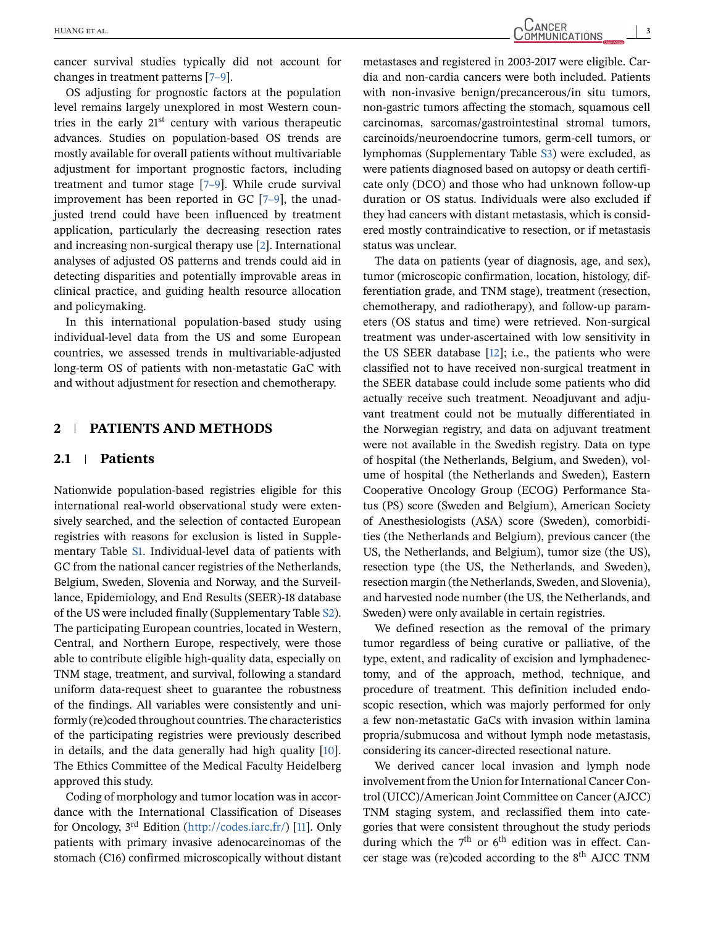cancer survival studies typically did not account for changes in treatment patterns [\[7–9\]](#page-13-0).

OS adjusting for prognostic factors at the population level remains largely unexplored in most Western countries in the early 21st century with various therapeutic advances. Studies on population-based OS trends are mostly available for overall patients without multivariable adjustment for important prognostic factors, including treatment and tumor stage [\[7–9\]](#page-13-0). While crude survival improvement has been reported in GC [\[7–9\]](#page-13-0), the unadjusted trend could have been influenced by treatment application, particularly the decreasing resection rates and increasing non-surgical therapy use [\[2\]](#page-13-0). International analyses of adjusted OS patterns and trends could aid in detecting disparities and potentially improvable areas in clinical practice, and guiding health resource allocation and policymaking.

In this international population-based study using individual-level data from the US and some European countries, we assessed trends in multivariable-adjusted long-term OS of patients with non-metastatic GaC with and without adjustment for resection and chemotherapy.

### **2 PATIENTS AND METHODS**

# **2.1 Patients**

Nationwide population-based registries eligible for this international real-world observational study were extensively searched, and the selection of contacted European registries with reasons for exclusion is listed in Supplementary Table S1. Individual-level data of patients with GC from the national cancer registries of the Netherlands, Belgium, Sweden, Slovenia and Norway, and the Surveillance, Epidemiology, and End Results (SEER)-18 database of the US were included finally (Supplementary Table S2). The participating European countries, located in Western, Central, and Northern Europe, respectively, were those able to contribute eligible high-quality data, especially on TNM stage, treatment, and survival, following a standard uniform data-request sheet to guarantee the robustness of the findings. All variables were consistently and uniformly (re)coded throughout countries. The characteristics of the participating registries were previously described in details, and the data generally had high quality [\[10\]](#page-14-0). The Ethics Committee of the Medical Faculty Heidelberg approved this study.

Coding of morphology and tumor location was in accordance with the International Classification of Diseases for Oncology, 3rd Edition [\(http://codes.iarc.fr/\)](http://codes.iarc.fr/) [\[11\]](#page-14-0). Only patients with primary invasive adenocarcinomas of the stomach (C16) confirmed microscopically without distant

metastases and registered in 2003-2017 were eligible. Cardia and non-cardia cancers were both included. Patients with non-invasive benign/precancerous/in situ tumors, non-gastric tumors affecting the stomach, squamous cell carcinomas, sarcomas/gastrointestinal stromal tumors, carcinoids/neuroendocrine tumors, germ-cell tumors, or lymphomas (Supplementary Table S3) were excluded, as were patients diagnosed based on autopsy or death certificate only (DCO) and those who had unknown follow-up duration or OS status. Individuals were also excluded if they had cancers with distant metastasis, which is considered mostly contraindicative to resection, or if metastasis status was unclear.

The data on patients (year of diagnosis, age, and sex), tumor (microscopic confirmation, location, histology, differentiation grade, and TNM stage), treatment (resection, chemotherapy, and radiotherapy), and follow-up parameters (OS status and time) were retrieved. Non-surgical treatment was under-ascertained with low sensitivity in the US SEER database  $[12]$ ; i.e., the patients who were classified not to have received non-surgical treatment in the SEER database could include some patients who did actually receive such treatment. Neoadjuvant and adjuvant treatment could not be mutually differentiated in the Norwegian registry, and data on adjuvant treatment were not available in the Swedish registry. Data on type of hospital (the Netherlands, Belgium, and Sweden), volume of hospital (the Netherlands and Sweden), Eastern Cooperative Oncology Group (ECOG) Performance Status (PS) score (Sweden and Belgium), American Society of Anesthesiologists (ASA) score (Sweden), comorbidities (the Netherlands and Belgium), previous cancer (the US, the Netherlands, and Belgium), tumor size (the US), resection type (the US, the Netherlands, and Sweden), resection margin (the Netherlands, Sweden, and Slovenia), and harvested node number (the US, the Netherlands, and Sweden) were only available in certain registries.

We defined resection as the removal of the primary tumor regardless of being curative or palliative, of the type, extent, and radicality of excision and lymphadenectomy, and of the approach, method, technique, and procedure of treatment. This definition included endoscopic resection, which was majorly performed for only a few non-metastatic GaCs with invasion within lamina propria/submucosa and without lymph node metastasis, considering its cancer-directed resectional nature.

We derived cancer local invasion and lymph node involvement from the Union for International Cancer Control (UICC)/American Joint Committee on Cancer (AJCC) TNM staging system, and reclassified them into categories that were consistent throughout the study periods during which the  $7<sup>th</sup>$  or  $6<sup>th</sup>$  edition was in effect. Cancer stage was (re)coded according to the  $8<sup>th</sup>$  AJCC TNM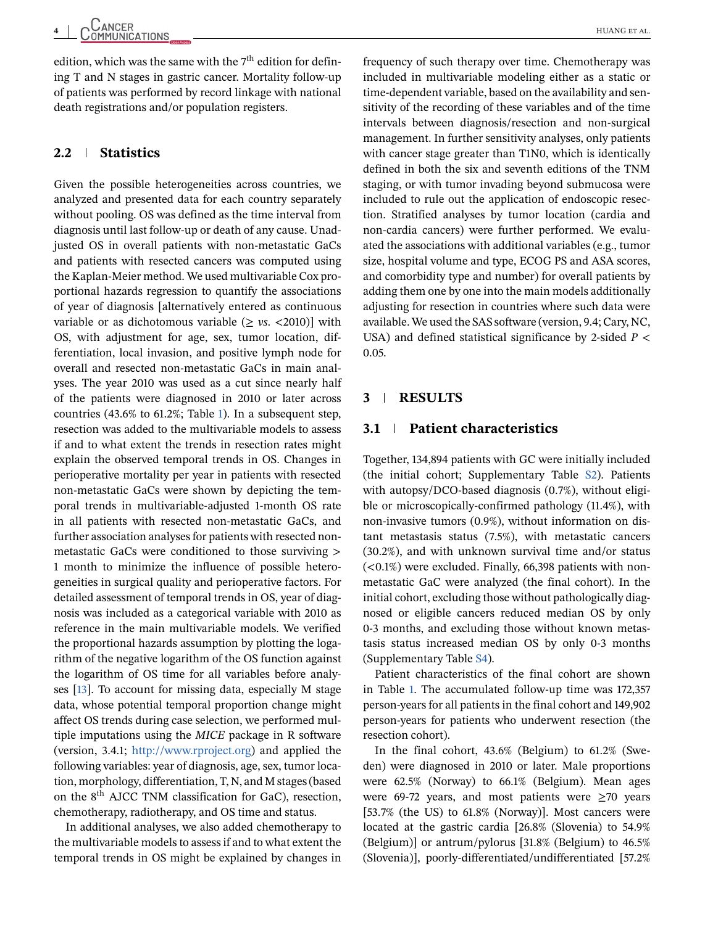edition, which was the same with the  $7<sup>th</sup>$  edition for defining T and N stages in gastric cancer. Mortality follow-up of patients was performed by record linkage with national death registrations and/or population registers.

# **2.2 Statistics**

Given the possible heterogeneities across countries, we analyzed and presented data for each country separately without pooling. OS was defined as the time interval from diagnosis until last follow-up or death of any cause. Unadjusted OS in overall patients with non-metastatic GaCs and patients with resected cancers was computed using the Kaplan-Meier method. We used multivariable Cox proportional hazards regression to quantify the associations of year of diagnosis [alternatively entered as continuous variable or as dichotomous variable  $(\geq v s. \lt 2010)$  with OS, with adjustment for age, sex, tumor location, differentiation, local invasion, and positive lymph node for overall and resected non-metastatic GaCs in main analyses. The year 2010 was used as a cut since nearly half of the patients were diagnosed in 2010 or later across countries (43.6% to 61.2%; Table [1\)](#page-4-0). In a subsequent step, resection was added to the multivariable models to assess if and to what extent the trends in resection rates might explain the observed temporal trends in OS. Changes in perioperative mortality per year in patients with resected non-metastatic GaCs were shown by depicting the temporal trends in multivariable-adjusted 1-month OS rate in all patients with resected non-metastatic GaCs, and further association analyses for patients with resected nonmetastatic GaCs were conditioned to those surviving > 1 month to minimize the influence of possible heterogeneities in surgical quality and perioperative factors. For detailed assessment of temporal trends in OS, year of diagnosis was included as a categorical variable with 2010 as reference in the main multivariable models. We verified the proportional hazards assumption by plotting the logarithm of the negative logarithm of the OS function against the logarithm of OS time for all variables before analyses [\[13\]](#page-14-0). To account for missing data, especially M stage data, whose potential temporal proportion change might affect OS trends during case selection, we performed multiple imputations using the *MICE* package in R software (version, 3.4.1; [http://www.rproject.org\)](http://www.rproject.org) and applied the following variables: year of diagnosis, age, sex, tumor location, morphology, differentiation, T, N, and M stages (based on the 8th AJCC TNM classification for GaC), resection, chemotherapy, radiotherapy, and OS time and status.

In additional analyses, we also added chemotherapy to the multivariable models to assess if and to what extent the temporal trends in OS might be explained by changes in

frequency of such therapy over time. Chemotherapy was included in multivariable modeling either as a static or time-dependent variable, based on the availability and sensitivity of the recording of these variables and of the time intervals between diagnosis/resection and non-surgical management. In further sensitivity analyses, only patients with cancer stage greater than T1N0, which is identically defined in both the six and seventh editions of the TNM staging, or with tumor invading beyond submucosa were included to rule out the application of endoscopic resection. Stratified analyses by tumor location (cardia and non-cardia cancers) were further performed. We evaluated the associations with additional variables (e.g., tumor size, hospital volume and type, ECOG PS and ASA scores, and comorbidity type and number) for overall patients by adding them one by one into the main models additionally adjusting for resection in countries where such data were available. We used the SAS software (version, 9.4; Cary, NC, USA) and defined statistical significance by 2-sided *P* < 0.05.

# **3 RESULTS**

## **3.1 Patient characteristics**

Together, 134,894 patients with GC were initially included (the initial cohort; Supplementary Table S2). Patients with autopsy/DCO-based diagnosis (0.7%), without eligible or microscopically-confirmed pathology (11.4%), with non-invasive tumors (0.9%), without information on distant metastasis status (7.5%), with metastatic cancers (30.2%), and with unknown survival time and/or status  $(<0.1\%)$  were excluded. Finally, 66,398 patients with nonmetastatic GaC were analyzed (the final cohort). In the initial cohort, excluding those without pathologically diagnosed or eligible cancers reduced median OS by only 0-3 months, and excluding those without known metastasis status increased median OS by only 0-3 months (Supplementary Table S4).

Patient characteristics of the final cohort are shown in Table [1.](#page-4-0) The accumulated follow-up time was 172,357 person-years for all patients in the final cohort and 149,902 person-years for patients who underwent resection (the resection cohort).

In the final cohort, 43.6% (Belgium) to 61.2% (Sweden) were diagnosed in 2010 or later. Male proportions were 62.5% (Norway) to 66.1% (Belgium). Mean ages were 69-72 years, and most patients were  $\geq 70$  years [53.7% (the US) to 61.8% (Norway)]. Most cancers were located at the gastric cardia [26.8% (Slovenia) to 54.9% (Belgium)] or antrum/pylorus [31.8% (Belgium) to 46.5% (Slovenia)], poorly-differentiated/undifferentiated [57.2%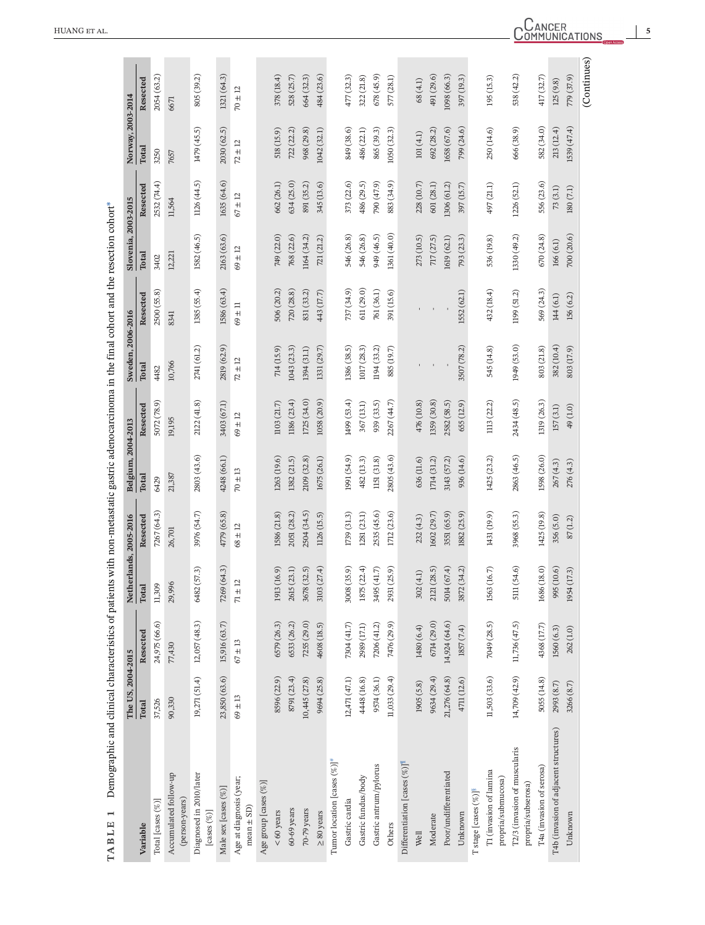<span id="page-4-0"></span>

|                                                    | The US, 2004-2015 |               | Netherlands, 2005-2016 |             | Belgium, 2004-2013 |             | Sweden, 2006-2016 |             | Slovenia, 2003-2015 |             | Norway, 2003-2014 |             |
|----------------------------------------------------|-------------------|---------------|------------------------|-------------|--------------------|-------------|-------------------|-------------|---------------------|-------------|-------------------|-------------|
| Variable                                           | Total             | Resected      | <b>Total</b>           | Resected    | Total              | Resected    | Total             | Resected    | <b>Total</b>        | Resected    | Total             | Resected    |
| Total [cases (%)]                                  | 37,526            | 24,975 (66.6) | 11,309                 | 7267 (64.3) | 6429               | 5072 (78.9) | 4482              | 2500 (55.8) | 3402                | 2532 (74.4) | 3250              | 2054 (63.2) |
| Accumulated follow-up<br>(person-years)            | 90,330            | 77,430        | 29,996                 | 26,701      | 21,387             | 19,195      | 10,766            | 8341        | 12,221              | 11,564      | 7657              | 6671        |
| Diagnosed in 2010/later<br>[cases $(\%)$ ]         | 19,271 (51.4)     | 12,057 (48.3) | 57.3)<br>6482 (        | 3976 (54.7) | 2803 (43.6)        | 2122 (41.8) | 2741 (61.2)       | 1385 (55.4) | 1582 (46.5)         | 1126 (44.5) | 1479 (45.5)       | 805 (39.2)  |
| Male sex [cases (%)]                               | 23,850 (63.6)     | 15,916 (63.7) | (64.3)<br>7269 (       | 4779 (65.8) | 4248 (66.1)        | 3403 (67.1) | 2819 (62.9)       | 1586 (63.4) | 2163 (63.6)         | 1635 (64.6) | 2030 (62.5)       | 1321 (64.3) |
| Age at diagnosis (year;<br>mean $\pm$ SD)          | $69\pm13$         | $67\pm13$     | N<br>$71 \pm 1$        | $68\pm12$   | $70\pm13$          | $69\pm12$   | $72\pm12$         | $69\pm11$   | $69\pm12$           | $67\pm12$   | $72\pm12$         | $70\pm12$   |
| Age group [cases (%)]                              |                   |               |                        |             |                    |             |                   |             |                     |             |                   |             |
| $< 60$ years                                       | 8596 (22.9)       | 6579 (26.3)   | 1913 (16.9)            | 1586 (21.8) | 1263(19.6)         | 1103 (21.7) | 714 (15.9)        | 506 (20.2)  | 749 (22.0)          | 662 (26.1)  | 518 (15.9)        | 378 (18.4)  |
| 60-69 years                                        | 8791 (23.4)       | 6533 (26.2)   | (23.1)<br>2615(        | 2051 (28.2) | 1382 (21.5)        | 1186 (23.4) | 1043 (23.3)       | 720 (28.8)  | 768 (22.6)          | 634 (25.0)  | 722 (22.2)        | 528 (25.7)  |
| 70-79 years                                        | 10,445(27.8)      | 7255 (29.0)   | 32.5)<br>3678          | 2504 (34.5) | 2109 (32.8)        | 1725(34.0)  | 1394(31.1)        | 831 (33.2)  | 1164 (34.2)         | 891 (35.2)  | 968 (29.8)        | 664 (32.3)  |
| $\geq 80$ years                                    | 9694 (25.8)       | 4608 (18.5)   | 27.4)<br>3103 (        | 1126 (15.5) | 1675 (26.1)        | 1058 (20.9) | 1331 (29.7)       | 443 (17.7)  | 721 (21.2)          | 345 (13.6)  | 1042 (32.1)       | 484 (23.6)  |
| Tumor location [cases $(\%)$ ] <sup>#</sup>        |                   |               |                        |             |                    |             |                   |             |                     |             |                   |             |
| Gastric cardia                                     | 12,471(47.1)      | 7304 (41.7)   | 35.9)<br>3008          | 1739 (31.3) | 1991 (54.9)        | 1499 (53.4) | 1386 (38.5)       | 737 (34.9)  | 546 (26.8)          | 373 (22.6)  | 849 (38.6)        | 477 (32.3)  |
| Gastric fundus/body                                | 4448 (16.8)       | 2989 (17.1)   | 22.4)<br>1875(         | 1281(23.1)  | 482 (13.3)         | 367 (13.1)  | 1017 (28.3)       | 611 (29.0)  | 546 (26.8)          | 486 (29.5)  | 486 (22.1)        | 322 (21.8)  |
| Gastric antrum/pylorus                             | 9574 (36.1)       | 7206(41.2)    | $41.7$<br>3495(        | 2535 (45.6) | II51 (31.8)        | 939 (33.5)  | 194 (33.2)        | 761 (36.1)  | 949 (46.5)          | 790 (47.9)  | 865 (39.3)        | 678(45.9)   |
| Others                                             | 11,033(29.4)      | 7476 (29.9)   | 25.9)<br>2931 (        | 1712 (23.6) | 2805 (43.6)        | 2267 (44.7) | 885 (19.7)        | 391 (15.6)  | 1361 (40.0)         | 883 (34.9)  | 1050 (32.3)       | 577 (28.1)  |
| Differentiation [cases $(\%)$ ]                    |                   |               |                        |             |                    |             |                   |             |                     |             |                   |             |
| Well                                               | 1905(5.8)         | 1480 (6.4)    | (4.1)<br>302(          | 232(4.3)    | 636 (11.6)         | 476 (10.8)  |                   |             | 273 (10.5)          | 228 (10.7)  | 101(4.1)          | 68(4.1)     |
| Moderate                                           | 9634 (29.4)       | 6714 (29.0)   | (28.5)<br>2121(        | 1602(29.7)  | 1714 (31.2)        | 1359 (30.8) |                   |             | 717(27.5)           | 601 (28.1)  | 692 (28.2)        | 491 (29.6)  |
| Poor/undifferentiated                              | 21,276 (64.8)     | 14,924 (64.6) | (67.4)<br>5014(        | 3551 (65.9) | 3143 (57.2)        | 2582 (58.5) |                   |             | 1619 (62.1)         | 1306 (61.2) | 1658 (67.6)       | 1098 (66.3) |
| Unknown                                            | 4711 (12.6)       | 1857 (7.4)    | 34.2)<br>3872(         | 1882 (25.9) | 936 (14.6)         | 655 (12.9)  | 3507 (78.2)       | 1552 (62.1) | 793 (23.3)          | 397 (15.7)  | 799 (24.6)        | 397 (19.3)  |
| T stage [cases $(\%)$ ] <sup>8</sup>               |                   |               |                        |             |                    |             |                   |             |                     |             |                   |             |
| T1 (invasion of lamina<br>propria/submucosa)       | 11,503 (33.6)     | 7049 (28.5)   | 16.7)<br>1563 (        | 1431 (19.9) | 1425 (23.2)        | 1113 (22.2) | 545 (14.8)        | 432 (18.4)  | 536 (19.8)          | 497 (21.1)  | 250 (14.6)        | 195 (15.3)  |
| T2/3 (invasion of muscularis<br>propria/subserosa) | 14,709 (42.9)     | 11,736 (47.5) | 54.6)<br>$\sin($       | 3968 (55.3) | 2863 (46.5)        | 2434 (48.5) | 1949 (53.0)       | 1199 (51.2) | 1330 (49.2)         | 1226 (52.1) | 666 (38.9)        | 538 (42.2)  |
| T4a (invasion of serosa)                           | 5055 (14.8)       | 4368 (17.7)   | 1686 (18.0)            | 1425 (19.8) | (26.0)             | 1319 (26.3) | 803 (21.8)        | 569 (24.3)  | 670(24.8)           | 556 (23.6)  | 582 (34.0)        | 417 (32.7)  |
| T4b (invasion of adjacent structures)              | 2993 (8.7)        | 1560 (6.3)    | 995 (10.6)             | 356(5.0)    | 267(4.3)           | 157(3.1)    | 382 (10.4)        | 144 (6.1)   | 166(6.1)            | 73(3.1)     | 213 (12.4)        | 125(9.8)    |
| Unknown                                            | 3266 (8.7)        | 262 (1.0)     | 1954 (17.3)            | 87(1.2)     | 276(4.3)           | 49 (1.0)    | 803 (17.9)        | 156 (6.2)   | 700 (20.6)          | 180 (7.1)   | L539(47.4)        | 779 (37.9)  |
|                                                    |                   |               |                        |             |                    |             |                   |             |                     |             |                   | (Continues) |

**5**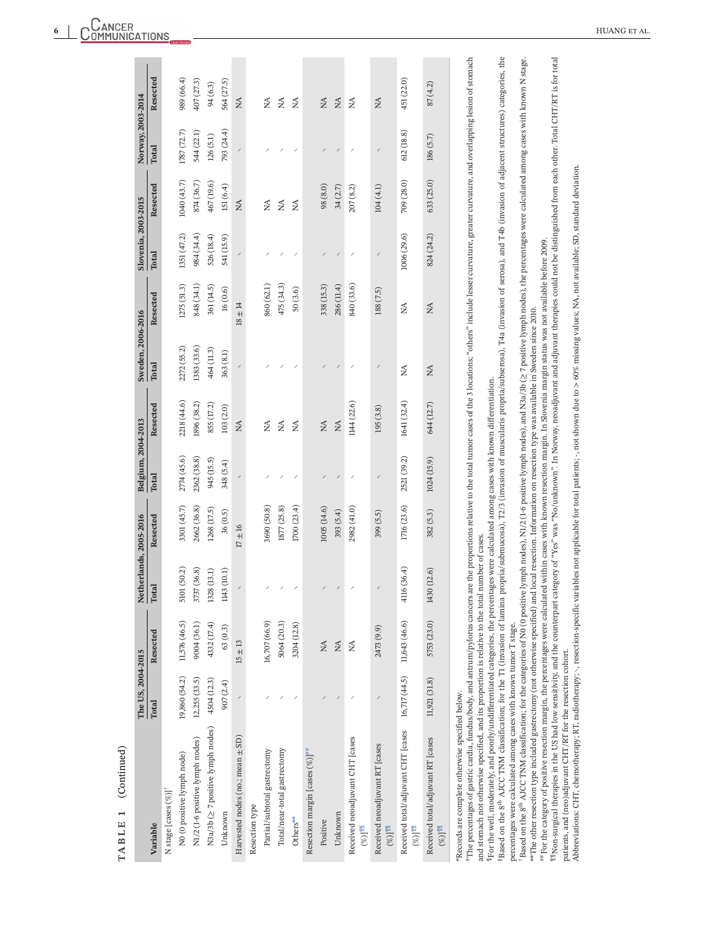<span id="page-5-0"></span>

| (Continued)<br>TABLE 1                                                                                                                                                                                                                                                                                                                                                                                                                                                                                                                                                                                                                                                                                                                                                                                                                                                                                                                                                                                                                                                                                                                                                                                                                                                                                                                                                                                                                                                                                                                                                                                                                                                                                                                                                                                                 |                   |                                          |                        |                                                                                                                                                   |                          |                |                                          |             |                          |                                |                          |                        |
|------------------------------------------------------------------------------------------------------------------------------------------------------------------------------------------------------------------------------------------------------------------------------------------------------------------------------------------------------------------------------------------------------------------------------------------------------------------------------------------------------------------------------------------------------------------------------------------------------------------------------------------------------------------------------------------------------------------------------------------------------------------------------------------------------------------------------------------------------------------------------------------------------------------------------------------------------------------------------------------------------------------------------------------------------------------------------------------------------------------------------------------------------------------------------------------------------------------------------------------------------------------------------------------------------------------------------------------------------------------------------------------------------------------------------------------------------------------------------------------------------------------------------------------------------------------------------------------------------------------------------------------------------------------------------------------------------------------------------------------------------------------------------------------------------------------------|-------------------|------------------------------------------|------------------------|---------------------------------------------------------------------------------------------------------------------------------------------------|--------------------------|----------------|------------------------------------------|-------------|--------------------------|--------------------------------|--------------------------|------------------------|
|                                                                                                                                                                                                                                                                                                                                                                                                                                                                                                                                                                                                                                                                                                                                                                                                                                                                                                                                                                                                                                                                                                                                                                                                                                                                                                                                                                                                                                                                                                                                                                                                                                                                                                                                                                                                                        | The US, 2004-2015 |                                          | Netherlands, 2005-2016 |                                                                                                                                                   | Belgium, 2004-2013       |                | Sweden, 2006-2016                        |             | Slovenia, 2003-2015      |                                | Norway, 2003-2014        |                        |
| Variable                                                                                                                                                                                                                                                                                                                                                                                                                                                                                                                                                                                                                                                                                                                                                                                                                                                                                                                                                                                                                                                                                                                                                                                                                                                                                                                                                                                                                                                                                                                                                                                                                                                                                                                                                                                                               | Total             | Resected                                 | Total                  | Resected                                                                                                                                          | Total                    | Resected       | Total                                    | Resected    | Total                    | Resected                       | Total                    | Resected               |
| N stage [cases (%)] <sup>†</sup>                                                                                                                                                                                                                                                                                                                                                                                                                                                                                                                                                                                                                                                                                                                                                                                                                                                                                                                                                                                                                                                                                                                                                                                                                                                                                                                                                                                                                                                                                                                                                                                                                                                                                                                                                                                       |                   |                                          |                        |                                                                                                                                                   |                          |                |                                          |             |                          |                                |                          |                        |
| N0 (0 positive lymph node)                                                                                                                                                                                                                                                                                                                                                                                                                                                                                                                                                                                                                                                                                                                                                                                                                                                                                                                                                                                                                                                                                                                                                                                                                                                                                                                                                                                                                                                                                                                                                                                                                                                                                                                                                                                             | 19,860 (54.2)     | 11,576 (46.5)                            | (50.2)<br>5101         | 3301 (45.7)                                                                                                                                       | 2774 (45.6)              | 2218 (44.6)    | 2272 (55.2)                              | 1275 (51.3) | 1351 (47.2)              | 1040(43.7)                     | 1787 (72.7)              | 989 (66.4)             |
| N1/2 (1-6 positive lymph nodes)                                                                                                                                                                                                                                                                                                                                                                                                                                                                                                                                                                                                                                                                                                                                                                                                                                                                                                                                                                                                                                                                                                                                                                                                                                                                                                                                                                                                                                                                                                                                                                                                                                                                                                                                                                                        | 12,255 (33.5)     | 9004 (36.1)                              | (36.8)<br>3737         | 2662 (36.8)                                                                                                                                       | 2362 (38.8)              | 1896 (38.2)    | 1383 (33.6)                              | 848 (34.1)  | 984 (34.4)               | 874 (36.7)                     | 544 (22.1)               | 407 (27.3)             |
| N3a/3b (≥ 7 positive lymph nodes)                                                                                                                                                                                                                                                                                                                                                                                                                                                                                                                                                                                                                                                                                                                                                                                                                                                                                                                                                                                                                                                                                                                                                                                                                                                                                                                                                                                                                                                                                                                                                                                                                                                                                                                                                                                      | 4504 (12.3)       | 4332 (17.4)                              | 1328 (13.1)            | 1268 (17.5)                                                                                                                                       | 945 (15.5)               | 855 (17.2)     | 464 (11.3)                               | 361 (14.5)  | 526 (18.4)               | 467 (19.6)                     | 126(5.1)                 | 94 (6.3)               |
| Unknown                                                                                                                                                                                                                                                                                                                                                                                                                                                                                                                                                                                                                                                                                                                                                                                                                                                                                                                                                                                                                                                                                                                                                                                                                                                                                                                                                                                                                                                                                                                                                                                                                                                                                                                                                                                                                | 907 (2.4)         | 63(0.3)                                  | (10.1)<br>1143         | 36(0.5)                                                                                                                                           | 348 (5.4)                | 103 (2.0)      | 363(8.1)                                 | 16(0.6)     | 541 (15.9)               | 151(6.4)                       | 793 (24.4)               | 564 (27.5)             |
| Harvested nodes (no.; mean ± SD)                                                                                                                                                                                                                                                                                                                                                                                                                                                                                                                                                                                                                                                                                                                                                                                                                                                                                                                                                                                                                                                                                                                                                                                                                                                                                                                                                                                                                                                                                                                                                                                                                                                                                                                                                                                       |                   | $15\pm13$                                |                        | $17 \pm 16$                                                                                                                                       |                          | $\mathbb N$    |                                          | $18\pm14$   |                          | $\stackrel{\triangle}{\rm NA}$ |                          | $\lesssim$             |
| Resection type                                                                                                                                                                                                                                                                                                                                                                                                                                                                                                                                                                                                                                                                                                                                                                                                                                                                                                                                                                                                                                                                                                                                                                                                                                                                                                                                                                                                                                                                                                                                                                                                                                                                                                                                                                                                         |                   |                                          |                        |                                                                                                                                                   |                          |                |                                          |             |                          |                                |                          |                        |
| Partial/subtotal gastrectomy                                                                                                                                                                                                                                                                                                                                                                                                                                                                                                                                                                                                                                                                                                                                                                                                                                                                                                                                                                                                                                                                                                                                                                                                                                                                                                                                                                                                                                                                                                                                                                                                                                                                                                                                                                                           |                   | 16,707 (66.9)                            |                        | 3690 (50.8)                                                                                                                                       |                          | $\mathbb{A}$   |                                          | 860 (62.1)  |                          | $\mathbb{A}$                   |                          | ₹                      |
| Total/near-total gastrectomy                                                                                                                                                                                                                                                                                                                                                                                                                                                                                                                                                                                                                                                                                                                                                                                                                                                                                                                                                                                                                                                                                                                                                                                                                                                                                                                                                                                                                                                                                                                                                                                                                                                                                                                                                                                           |                   | 5064 (20.3)                              |                        | 1877 (25.8)                                                                                                                                       |                          | $\lessapprox$  |                                          | 475 (34.3)  |                          | $\mathbb{A}$                   |                          | $\lessapprox$          |
| Others**                                                                                                                                                                                                                                                                                                                                                                                                                                                                                                                                                                                                                                                                                                                                                                                                                                                                                                                                                                                                                                                                                                                                                                                                                                                                                                                                                                                                                                                                                                                                                                                                                                                                                                                                                                                                               |                   | 3204 (12.8)                              |                        | 1700 (23.4)                                                                                                                                       | $\overline{\phantom{a}}$ | $\mathbb{A}$   |                                          | 50(3.6)     | $\overline{\phantom{a}}$ | $\mathbb{A}$                   |                          | $\mathbb{A}$           |
| Resection margin [cases $(\%)$ #                                                                                                                                                                                                                                                                                                                                                                                                                                                                                                                                                                                                                                                                                                                                                                                                                                                                                                                                                                                                                                                                                                                                                                                                                                                                                                                                                                                                                                                                                                                                                                                                                                                                                                                                                                                       |                   |                                          |                        |                                                                                                                                                   |                          |                |                                          |             |                          |                                |                          |                        |
| Positive                                                                                                                                                                                                                                                                                                                                                                                                                                                                                                                                                                                                                                                                                                                                                                                                                                                                                                                                                                                                                                                                                                                                                                                                                                                                                                                                                                                                                                                                                                                                                                                                                                                                                                                                                                                                               |                   | $\stackrel{\triangle}{\scriptstyle\sim}$ |                        | 1005 (14.6)                                                                                                                                       |                          | $\lesssim$     |                                          | 338 (15.3)  |                          | 98 (8.0)                       |                          | $\lesssim$             |
| Unknown                                                                                                                                                                                                                                                                                                                                                                                                                                                                                                                                                                                                                                                                                                                                                                                                                                                                                                                                                                                                                                                                                                                                                                                                                                                                                                                                                                                                                                                                                                                                                                                                                                                                                                                                                                                                                |                   | $\stackrel{\Delta}{\simeq}$              |                        | 393 (5.4)                                                                                                                                         | $\overline{\phantom{a}}$ | $\mathbb{R}^2$ | $\overline{\phantom{a}}$                 | 286 (11.4)  | $\overline{\phantom{a}}$ | 34(2.7)                        |                          | $\lesssim$             |
| Received neoadjuvant CHT [cases<br>$\mathbb{H}^1(\%)$                                                                                                                                                                                                                                                                                                                                                                                                                                                                                                                                                                                                                                                                                                                                                                                                                                                                                                                                                                                                                                                                                                                                                                                                                                                                                                                                                                                                                                                                                                                                                                                                                                                                                                                                                                  |                   | $\stackrel{\triangle}{\simeq}$           |                        | 2982 (41.0)                                                                                                                                       | 1                        | 1144 (22.6)    | $\!\!{}^{\prime}$                        | 840 (33.6)  | $\!\!{}^{\prime}$        | 207 (8.2)                      |                          | $\lesssim$             |
| Received neoadjuvant RT [cases<br>$\mathbb{H}[\mathcal{O}]$                                                                                                                                                                                                                                                                                                                                                                                                                                                                                                                                                                                                                                                                                                                                                                                                                                                                                                                                                                                                                                                                                                                                                                                                                                                                                                                                                                                                                                                                                                                                                                                                                                                                                                                                                            |                   | 2473 (9.9)                               |                        | 399 (5.5)                                                                                                                                         | $\overline{\phantom{a}}$ | 195 (3.8)      | $\overline{\phantom{a}}$                 | 188 (7.5)   | $\overline{\phantom{a}}$ | 104(4.1)                       | $\overline{\phantom{a}}$ | $\frac{\mathbf{1}}{2}$ |
| Received total/adjuvant CHT [cases<br>$\mathbb{H} \mathbb{I}(\mathscr{C})$                                                                                                                                                                                                                                                                                                                                                                                                                                                                                                                                                                                                                                                                                                                                                                                                                                                                                                                                                                                                                                                                                                                                                                                                                                                                                                                                                                                                                                                                                                                                                                                                                                                                                                                                             | 16,717 (44.5)     | 11,643 (46.6)                            | 4116 (36.4)            | 1716 (23.6)                                                                                                                                       | 2521 (39.2)              | 1641 (32.4)    | $\mathbb{R}^{\mathsf{A}}$                | MA          | 1006(29.6)               | 709 (28.0)                     | 612(18.8)                | 451 (22.0)             |
| Received total/adjuvant RT [cases<br>$\mathbb{H} \mathbb{I}^{\mathbb{C}}(\mathscr{C})$                                                                                                                                                                                                                                                                                                                                                                                                                                                                                                                                                                                                                                                                                                                                                                                                                                                                                                                                                                                                                                                                                                                                                                                                                                                                                                                                                                                                                                                                                                                                                                                                                                                                                                                                 | 11,921 (31.8)     | 5753 (23.0)                              | 1430 (12.6)            | 382 (5.3)                                                                                                                                         | 1024(15.9)               | 644 (12.7)     | $\stackrel{\triangle}{\scriptstyle\sim}$ | $\mathbb N$ | 824 (24.2)               | 633 (25.0)                     | 186 (5.7)                | 87(4.2)                |
| "The percentages of gastric cardia, fundus/body, and antrum/pylorus cancers are the proportions relative to the total tumor cases of the 3 locations, "others" include lesser curvature, greater curvature, and overlapping le<br>Based on the 8 <sup>th</sup> AJCC TNM classification; for the T1 (invasion of lamina propria/submucosa), T2/3 (invasion of muscularis propria/subserosa), T4a (invasion of serosa), and T4b (invasion of adjacent structures) categories<br>"INon-surgical therapies in the US had low sensitivity, and the counterpart category of "Yes" was "No/unknown". In Norway, neoadjuvant and adjuvant therapies could not be distinguished from each other. Total CHT/RT is for<br>Based on the 8th AJCC TNM classification; for the categories of N0 (0 positive lymph nodes), N1/2(1-6 positive lymph nodes), and N3a/3b (≥ 7 positive lymph nodes), the percentages were calculated among cases with known N s<br>Abbreviations: CHT, chemotherapy; RT, radiotherapy; ., resection-specific variables not applicable for total patients; ., not shown due to > 60% missing values; NA, not available; SD, standard deviation.<br>" For the category of positive resection margin, the percentages were calculated within cases with known resection margin. In Slovenia margin status was not available before 2009.<br>and stomach not otherwise specified, and its proportion is relative to the total number of cases.<br>I For the well, moderately, and poorly/undifferentiated categories, the percenta<br>**The other resection type included gastrectomy (not otherwise specified) and<br>percentages were calculated among cases with known tumor T stage.<br>patients, and (neo)adjuvant CHT/RT for the resection cohort.<br>*Records are complete otherwise specified below. |                   |                                          |                        | local resection. Information on resection type was available in Sweden since 2010.<br>ges were calculated among cases with known differentiation. |                          |                |                                          |             |                          |                                |                          |                        |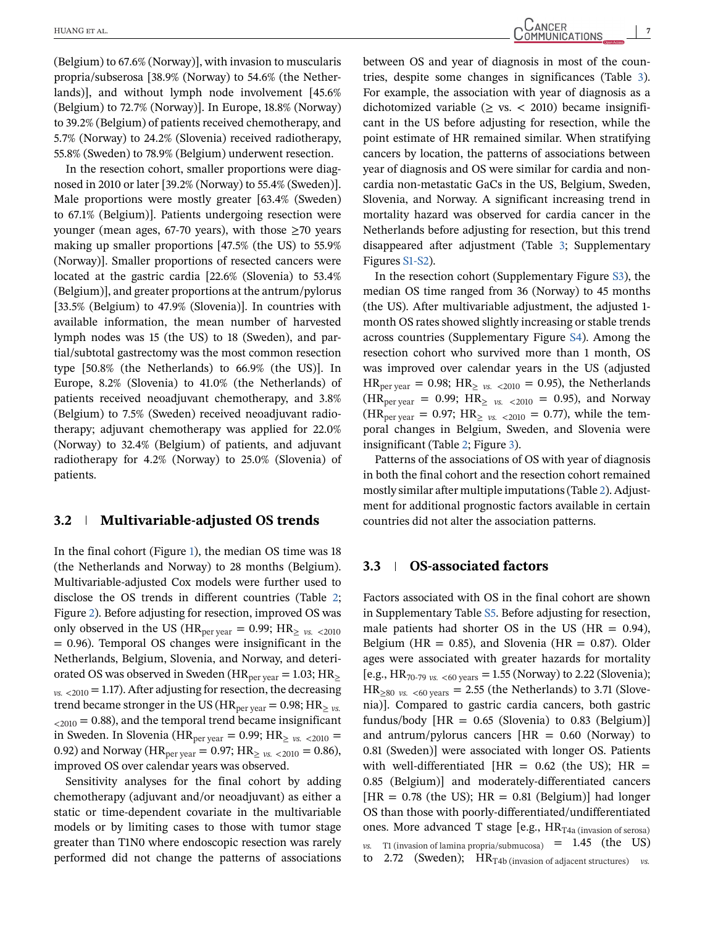(Belgium) to 67.6% (Norway)], with invasion to muscularis propria/subserosa [38.9% (Norway) to 54.6% (the Netherlands)], and without lymph node involvement [45.6% (Belgium) to 72.7% (Norway)]. In Europe, 18.8% (Norway) to 39.2% (Belgium) of patients received chemotherapy, and 5.7% (Norway) to 24.2% (Slovenia) received radiotherapy, 55.8% (Sweden) to 78.9% (Belgium) underwent resection.

In the resection cohort, smaller proportions were diagnosed in 2010 or later [39.2% (Norway) to 55.4% (Sweden)]. Male proportions were mostly greater [63.4% (Sweden) to 67.1% (Belgium)]. Patients undergoing resection were younger (mean ages, 67-70 years), with those  $\geq$  70 years making up smaller proportions [47.5% (the US) to 55.9% (Norway)]. Smaller proportions of resected cancers were located at the gastric cardia [22.6% (Slovenia) to 53.4% (Belgium)], and greater proportions at the antrum/pylorus [33.5% (Belgium) to 47.9% (Slovenia)]. In countries with available information, the mean number of harvested lymph nodes was 15 (the US) to 18 (Sweden), and partial/subtotal gastrectomy was the most common resection type [50.8% (the Netherlands) to 66.9% (the US)]. In Europe, 8.2% (Slovenia) to 41.0% (the Netherlands) of patients received neoadjuvant chemotherapy, and 3.8% (Belgium) to 7.5% (Sweden) received neoadjuvant radiotherapy; adjuvant chemotherapy was applied for 22.0% (Norway) to 32.4% (Belgium) of patients, and adjuvant radiotherapy for 4.2% (Norway) to 25.0% (Slovenia) of patients.

#### **3.2 Multivariable-adjusted OS trends**

In the final cohort (Figure [1\)](#page-7-0), the median OS time was 18 (the Netherlands and Norway) to 28 months (Belgium). Multivariable-adjusted Cox models were further used to disclose the OS trends in different countries (Table [2;](#page-8-0) Figure [2\)](#page-7-0). Before adjusting for resection, improved OS was only observed in the US ( $HR_{per\,year} = 0.99$ ;  $HR_{2\nu s.} < 2010$ = 0.96). Temporal OS changes were insignificant in the Netherlands, Belgium, Slovenia, and Norway, and deteriorated OS was observed in Sweden (HR<sub>per year</sub> = 1.03; HR<sub>2</sub>  $v_{0.5}$  <2010 = 1.17). After adjusting for resection, the decreasing trend became stronger in the US ( $HR_{per\,year} = 0.98$ ;  $HR_{\geq ys}$ .  $_{<2010}$  = 0.88), and the temporal trend became insignificant in Sweden. In Slovenia (HR<sub>per year</sub> = 0.99; HR<sub> $\geq$  *vs.* <2010 =</sub> 0.92) and Norway ( $HR_{per\,year} = 0.97$ ;  $HR_{2\,vs. \, < 2010} = 0.86$ ), improved OS over calendar years was observed.

Sensitivity analyses for the final cohort by adding chemotherapy (adjuvant and/or neoadjuvant) as either a static or time-dependent covariate in the multivariable models or by limiting cases to those with tumor stage greater than T1N0 where endoscopic resection was rarely performed did not change the patterns of associations

between OS and year of diagnosis in most of the countries, despite some changes in significances (Table [3\)](#page-9-0). For example, the association with year of diagnosis as a dichotomized variable  $(> vs. < 2010)$  became insignificant in the US before adjusting for resection, while the point estimate of HR remained similar. When stratifying cancers by location, the patterns of associations between year of diagnosis and OS were similar for cardia and noncardia non-metastatic GaCs in the US, Belgium, Sweden, Slovenia, and Norway. A significant increasing trend in mortality hazard was observed for cardia cancer in the Netherlands before adjusting for resection, but this trend disappeared after adjustment (Table [3;](#page-9-0) Supplementary Figures S1-S2).

In the resection cohort (Supplementary Figure S3), the median OS time ranged from 36 (Norway) to 45 months (the US). After multivariable adjustment, the adjusted 1 month OS rates showed slightly increasing or stable trends across countries (Supplementary Figure S4). Among the resection cohort who survived more than 1 month, OS was improved over calendar years in the US (adjusted  $HR_{per \text{year}} = 0.98$ ;  $HR_{\geq \text{vs.} < 2010} = 0.95$ ), the Netherlands  $(HR_{per \text{year}} = 0.99; HR_{2 \text{ vs. } <2010} = 0.95)$ , and Norway  $(HR_{per \text{year}} = 0.97; HR_{\geq \text{vs.} < 2010} = 0.77)$ , while the temporal changes in Belgium, Sweden, and Slovenia were insignificant (Table [2;](#page-8-0) Figure [3\)](#page-10-0).

Patterns of the associations of OS with year of diagnosis in both the final cohort and the resection cohort remained mostly similar after multiple imputations (Table [2\)](#page-8-0). Adjustment for additional prognostic factors available in certain countries did not alter the association patterns.

#### **3.3 OS-associated factors**

Factors associated with OS in the final cohort are shown in Supplementary Table S5. Before adjusting for resection, male patients had shorter OS in the US ( $HR = 0.94$ ), Belgium (HR =  $0.85$ ), and Slovenia (HR =  $0.87$ ). Older ages were associated with greater hazards for mortality [e.g.,  $HR_{70-79 \text{ vs. } <60 \text{ years}} = 1.55 \text{ (Norway) to } 2.22 \text{ (Slovenia)}$ ;  $HR_{\geq 80}$  *vs.* <60 years = 2.55 (the Netherlands) to 3.71 (Slovenia)]. Compared to gastric cardia cancers, both gastric fundus/body  $[HR = 0.65$  (Slovenia) to 0.83 (Belgium) and antrum/pylorus cancers  $[HR = 0.60$  (Norway) to 0.81 (Sweden)] were associated with longer OS. Patients with well-differentiated  $[HR = 0.62$  (the US);  $HR =$ 0.85 (Belgium)] and moderately-differentiated cancers  $[HR = 0.78$  (the US);  $HR = 0.81$  (Belgium)] had longer OS than those with poorly-differentiated/undifferentiated ones. More advanced T stage [e.g.,  $HR_{T4a \text{ (invasion of serosa)}}$ *vs.* T1 (invasion of lamina propria/submucosa) = 1.45 (the US) to 2.72 (Sweden);  $HR_{T4b}$  (invasion of adjacent structures) *vs.*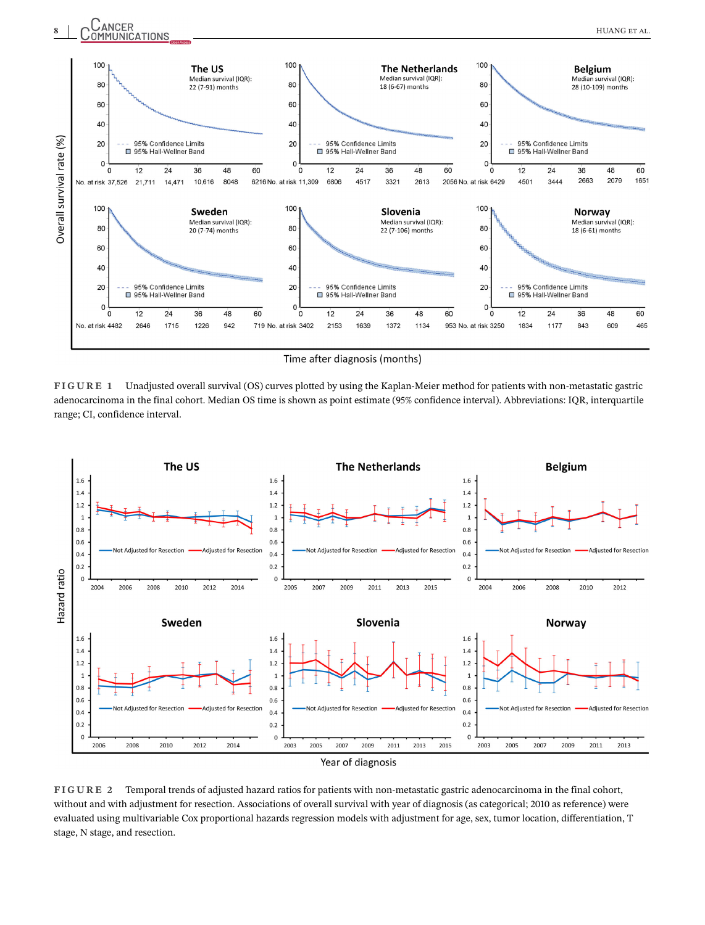<span id="page-7-0"></span>

Time after diagnosis (months)

**FIGURE 1** Unadjusted overall survival (OS) curves plotted by using the Kaplan-Meier method for patients with non-metastatic gastric adenocarcinoma in the final cohort. Median OS time is shown as point estimate (95% confidence interval). Abbreviations: IQR, interquartile range; CI, confidence interval.



**FIGURE 2** Temporal trends of adjusted hazard ratios for patients with non-metastatic gastric adenocarcinoma in the final cohort, without and with adjustment for resection. Associations of overall survival with year of diagnosis (as categorical; 2010 as reference) were evaluated using multivariable Cox proportional hazards regression models with adjustment for age, sex, tumor location, differentiation, T stage, N stage, and resection.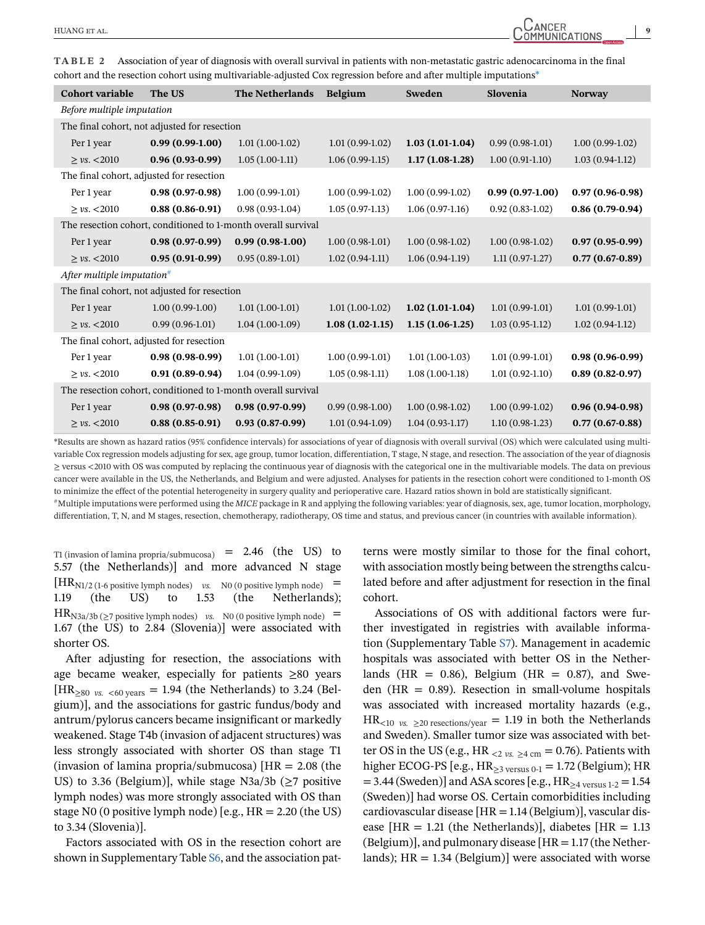<span id="page-8-0"></span>**TABLE 2** Association of year of diagnosis with overall survival in patients with non-metastatic gastric adenocarcinoma in the final cohort and the resection cohort using multivariable-adjusted Cox regression before and after multiple imputations\*

| <b>Cohort variable</b>                   | The US                                       | <b>The Netherlands</b>                                        | <b>Belgium</b>    | Sweden            | Slovenia          | <b>Norway</b>       |
|------------------------------------------|----------------------------------------------|---------------------------------------------------------------|-------------------|-------------------|-------------------|---------------------|
| Before multiple imputation               |                                              |                                                               |                   |                   |                   |                     |
|                                          | The final cohort, not adjusted for resection |                                                               |                   |                   |                   |                     |
| Per 1 year                               | $0.99(0.99-1.00)$                            | $1.01(1.00-1.02)$                                             | $1.01(0.99-1.02)$ | $1.03(1.01-1.04)$ | $0.99(0.98-1.01)$ | $1.00(0.99-1.02)$   |
| $\geq$ vs. <2010                         | $0.96(0.93-0.99)$                            | $1.05(1.00-1.11)$                                             | $1.06(0.99-1.15)$ | $1.17(1.08-1.28)$ | $1.00(0.91-1.10)$ | $1.03(0.94-1.12)$   |
| The final cohort, adjusted for resection |                                              |                                                               |                   |                   |                   |                     |
| Per 1 year                               | $0.98(0.97-0.98)$                            | $1.00(0.99-1.01)$                                             | $1.00(0.99-1.02)$ | $1.00(0.99-1.02)$ | $0.99(0.97-1.00)$ | $0.97(0.96-0.98)$   |
| $\geq$ vs. <2010                         | $0.88(0.86-0.91)$                            | $0.98(0.93-1.04)$                                             | $1.05(0.97-1.13)$ | $1.06(0.97-1.16)$ | $0.92(0.83-1.02)$ | $0.86(0.79-0.94)$   |
|                                          |                                              | The resection cohort, conditioned to 1-month overall survival |                   |                   |                   |                     |
| Per 1 year                               | $0.98(0.97-0.99)$                            | $0.99(0.98-1.00)$                                             | $1.00(0.98-1.01)$ | $1.00(0.98-1.02)$ | $1.00(0.98-1.02)$ | $0.97(0.95-0.99)$   |
| $\geq$ vs. <2010                         | $0.95(0.91-0.99)$                            | $0.95(0.89-1.01)$                                             | $1.02(0.94-1.11)$ | $1.06(0.94-1.19)$ | $1.11(0.97-1.27)$ | $0.77(0.67-0.89)$   |
| After multiple imputation $#$            |                                              |                                                               |                   |                   |                   |                     |
|                                          | The final cohort, not adjusted for resection |                                                               |                   |                   |                   |                     |
| Per 1 year                               | $1.00(0.99-1.00)$                            | $1.01(1.00-1.01)$                                             | $1.01(1.00-1.02)$ | $1.02(1.01-1.04)$ | $1.01(0.99-1.01)$ | $1.01(0.99-1.01)$   |
| $\geq$ vs. <2010                         | $0.99(0.96-1.01)$                            | $1.04(1.00-1.09)$                                             | $1.08(1.02-1.15)$ | $1.15(1.06-1.25)$ | $1.03(0.95-1.12)$ | $1.02(0.94-1.12)$   |
| The final cohort, adjusted for resection |                                              |                                                               |                   |                   |                   |                     |
| Per 1 year                               | $0.98(0.98-0.99)$                            | $1.01(1.00-1.01)$                                             | $1.00(0.99-1.01)$ | $1.01(1.00-1.03)$ | $1.01(0.99-1.01)$ | $0.98(0.96-0.99)$   |
| $\geq$ vs. <2010                         | $0.91(0.89-0.94)$                            | $1.04(0.99-1.09)$                                             | $1.05(0.98-1.11)$ | $1.08(1.00-1.18)$ | $1.01(0.92-1.10)$ | $0.89(0.82 - 0.97)$ |
|                                          |                                              | The resection cohort, conditioned to 1-month overall survival |                   |                   |                   |                     |
| Per 1 year                               | $0.98(0.97-0.98)$                            | $0.98(0.97-0.99)$                                             | $0.99(0.98-1.00)$ | $1.00(0.98-1.02)$ | $1.00(0.99-1.02)$ | $0.96(0.94-0.98)$   |
| $\geq$ vs. <2010                         | $0.88(0.85-0.91)$                            | $0.93(0.87-0.99)$                                             | $1.01(0.94-1.09)$ | $1.04(0.93-1.17)$ | $1.10(0.98-1.23)$ | $0.77(0.67-0.88)$   |

\*Results are shown as hazard ratios (95% confidence intervals) for associations of year of diagnosis with overall survival (OS) which were calculated using multivariable Cox regression models adjusting for sex, age group, tumor location, differentiation, T stage, N stage, and resection. The association of the year of diagnosis ≥ versus <2010 with OS was computed by replacing the continuous year of diagnosis with the categorical one in the multivariable models. The data on previous cancer were available in the US, the Netherlands, and Belgium and were adjusted. Analyses for patients in the resection cohort were conditioned to 1-month OS to minimize the effect of the potential heterogeneity in surgery quality and perioperative care. Hazard ratios shown in bold are statistically significant.

#Multiple imputations were performed using the *MICE* package in R and applying the following variables: year of diagnosis, sex, age, tumor location, morphology, differentiation, T, N, and M stages, resection, chemotherapy, radiotherapy, OS time and status, and previous cancer (in countries with available information).

T1 (invasion of lamina propria/submucosa) =  $2.46$  (the US) to 5.57 (the Netherlands)] and more advanced N stage  $[HR<sub>N1/2</sub>(1-6 positive lymph nodes)$  *vs.* N0 (0 positive lymph node) = 1.19 (the US) to 1.53 (the Netherlands);  $HR_{N3a/3b}$  ( $\geq$ 7 positive lymph nodes) *vs.* N0 (0 positive lymph node) = 1.67 (the US) to 2.84 (Slovenia)] were associated with shorter OS.

After adjusting for resection, the associations with age became weaker, especially for patients  $\geq 80$  years  $[HR_{\geq 80 \text{ vs. } <60 \text{ years}} = 1.94$  (the Netherlands) to 3.24 (Belgium)], and the associations for gastric fundus/body and antrum/pylorus cancers became insignificant or markedly weakened. Stage T4b (invasion of adjacent structures) was less strongly associated with shorter OS than stage T1 (invasion of lamina propria/submucosa)  $[HR = 2.08]$  (the US) to 3.36 (Belgium)], while stage N3a/3b ( $\geq$ 7 positive lymph nodes) was more strongly associated with OS than stage N0 (0 positive lymph node) [e.g.,  $HR = 2.20$  (the US) to 3.34 (Slovenia)].

Factors associated with OS in the resection cohort are shown in Supplementary Table S6, and the association pat-

terns were mostly similar to those for the final cohort, with association mostly being between the strengths calculated before and after adjustment for resection in the final cohort.

Associations of OS with additional factors were further investigated in registries with available information (Supplementary Table S7). Management in academic hospitals was associated with better OS in the Netherlands (HR =  $0.86$ ), Belgium (HR =  $0.87$ ), and Sweden (HR =  $0.89$ ). Resection in small-volume hospitals was associated with increased mortality hazards (e.g.,  $HR_{\leq 10}$  *vs.*  $\geq 20$  resections/year = 1.19 in both the Netherlands and Sweden). Smaller tumor size was associated with better OS in the US (e.g., HR  $_{\rm <2 \, vs. \, \geq 4 \, cm}$  = 0.76). Patients with higher ECOG-PS [e.g.,  $HR_{\geq 3}$  versus 0-1 = 1.72 (Belgium); HR  $= 3.44$  (Sweden)] and ASA scores [e.g., HR<sub> $\geq 4$  versus 1-2 = 1.54</sub> (Sweden)] had worse OS. Certain comorbidities including cardiovascular disease [HR = 1.14 (Belgium)], vascular disease  $[HR = 1.21$  (the Netherlands)], diabetes  $[HR = 1.13]$ (Belgium)], and pulmonary disease  $[HR = 1.17]$  (the Netherlands);  $HR = 1.34$  (Belgium)] were associated with worse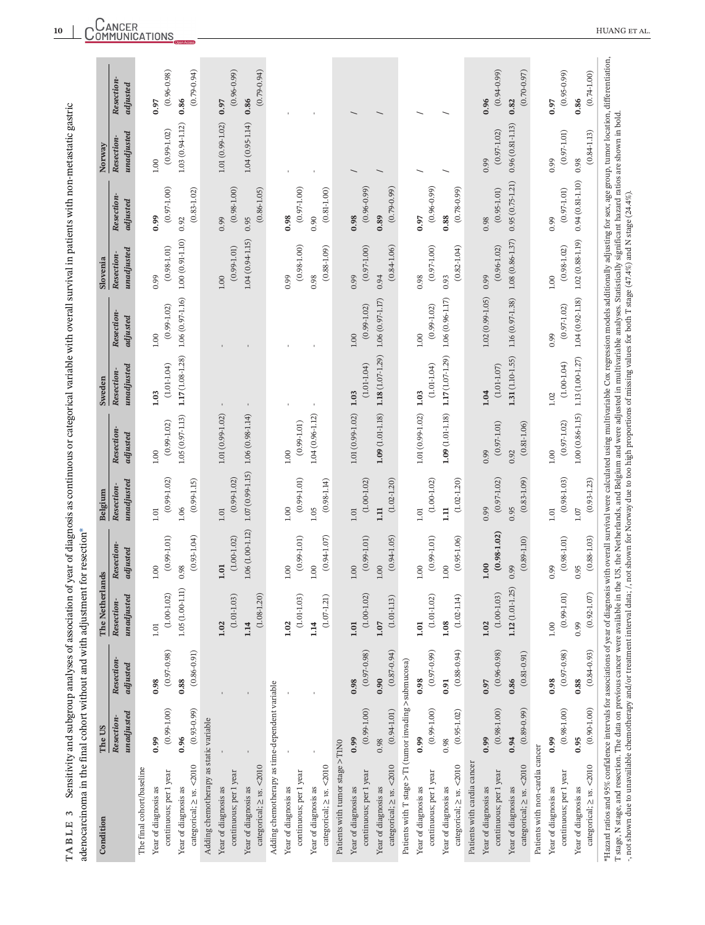| $0.94(0.81-1.10)$<br>$0.95(0.75 - 1.21)$<br>$(0.96 - 0.99)$<br>$(0.97 - 1.00)$<br>$(0.96 - 0.99)$<br>$(0.81 - 1.00)$<br>$(0.78 - 0.99)$<br>$(0.97 - 1.00)$<br>$(0.79 - 0.99)$<br>$(0.97 - 1.01)$<br>$(0.83 - 1.02)$<br>$(0.98 - 1.00)$<br>$(0.86 - 1.05)$<br>$(0.95 - 1.01)$<br>Resection<br>adjusted<br>0.98<br>0.98<br>0.89<br>0.88<br>0.99<br>0.97<br>0.90<br>0.92<br>0.99<br>0.95<br>0.98<br>0.99<br>$1.08\ (0.86\hbox{-}1.37)$<br>$1.00(0.91-1.10)$<br>$1.04(0.94 - 1.15)$<br>$1.02(0.88 - 1.19)$<br>$(0.98 - 1.00)$<br>$(0.97 - 1.00)$<br>$(0.88 - 1.09)$<br>$(0.97 - 1.00)$<br>$(0.82 - 1.04)$<br>$(0.99 - 1.01)$<br>$(0.84 - 1.06)$<br>$(0.96 - 1.02)$<br>$(0.98 - 1.01)$<br>$(0.98 - 1.02)$<br>unadjusted<br>Resection-<br>0.99<br>0.98<br>0.94<br>1.00<br>0.99<br>0.98<br>0.93<br>0.99<br>0.99<br>1.00<br>$1.06(0.97-1.16)$<br>$1.02(0.99 - 1.05)$<br>$1.04(0.92 - 1.18)$<br>$1.06(0.96 - 1.17)$<br>$1.16(0.97-1.38)$<br>$1.06(0.97 - 1.17)$<br>$(0.99 - 1.02)$<br>$(0.99 - 1.02)$<br>$(0.99 - 1.02)$<br>$(0.97 - 1.02)$<br>Resection-<br>adjusted<br>$1.00\,$<br>0.99<br>$1.00\,$<br>1.00<br>$1.17(1.08-1.28)$<br>$1.18(1.07 - 1.29)$<br>1.17 (1.07-1.29)<br>$1.31(1.10-1.55)$<br>$1.13(1.00 - 1.27)$<br>$(1.00-1.04)$<br>$(1.01 - 1.04)$<br>$(1.01 - 1.04)$<br>$(1.01-1.04)$<br>unadjusted<br>$(1.01 - 1.07)$<br>Resection-<br>1.04<br>1.03<br>1.03<br>1.03<br>1.02<br>$1.09(1.01-1.18)$<br>1.01 (0.99-1.02)<br>$1.09(1.01-1.18)$<br>$1.01(0.99-1.02)$<br>$1.05(0.97 - 1.13)$<br>$1.04(0.96 - 1.12)$<br>$1.00(0.86 - 1.15)$<br>$1.01(0.99-1.02)$<br>$1.06(0.98 - 1.14)$<br>$(0.99 - 1.02)$<br>$(0.99 - 1.01)$<br>$(0.97 - 1.02)$<br>$(0.97 - 1.01)$<br>$(0.81 - 1.06)$<br>Resection<br>adjusted<br>0.99<br>0.92<br>$1.00\,$<br>1.00<br>1.00<br>$1.07(0.99 - 1.15)$<br>$(0.98 - 1.03)$<br>$(0.99 - 1.02)$<br>$(0.99 - 1.01)$<br>$(0.83 - 1.09)$<br>$(0.99 - 1.02)$<br>$(0.97 - 1.02)$<br>unadjusted<br>$(0.99 - 1.15)$<br>$(0.98 - 1.14)$<br>$(1.00 - 1.02)$<br>$(1.02 - 1.20)$<br>$(1.00 - 1.02)$<br>$(1.02 - 1.20)$<br>Resection-<br>0.95<br>1.00<br>0.99<br>1.06<br>1.05<br>$\Xi$<br>$\Xi$<br>$1.01$<br>$1.07\,$<br>1.01<br>1.01<br>1.01<br>$1.01\,$<br>$1.06(1.00-1.12)$<br>$(0.98-1.02)$<br>$(0.93 - 1.04)$<br>$(0.94 - 1.07)$<br>$(1.00 - 1.02)$<br>$(0.95 - 1.06)$<br>$(0.99-1.01)$<br>$(0.99 - 1.01)$<br>$(0.99-1.01)$<br>$(0.94 - 1.05)$<br>$(0.98 - 1.01)$<br>$(0.99 - 1.01)$<br>$(0.89 - 1.10)$<br>Resection-<br>adjusted<br>1.00<br>0.99<br>0.99<br>1.00<br>0.98<br>1.01<br>1.00<br>1.00<br>1.00<br>1.00<br>1.00<br>1.00<br>0.95<br>$1.12(1.01-1.25)$<br>1.05 (1.00-1.11<br>$(1.00 - 1.02)$<br>$(1.00 - 1.03)$<br>$(0.99 - 1.01)$<br>$(1.00 - 1.02)$<br>unadjusted<br>$(1.08 - 1.20)$<br>$(1.01 - 1.03)$<br>$(1.01 - 1.02)$<br>$(1.01 - 1.03)$<br>$(1.02 - 1.14)$<br>$(1.07 - 1.21)$<br>$(1.01 - 1.13)$<br>Resection-<br>1.14<br>1.08<br>1.02<br>1.02<br>1.14<br>1.01<br>1.01<br>0.99<br>1.07<br>1.02<br>1.00<br>$1.01\,$<br>$(0.88 - 0.94)$<br>$(0.97 - 0.98)$<br>$(0.97 - 0.98)$<br>$(0.87 - 0.94)$<br>$(0.97 - 0.99)$<br>$(0.97 - 0.98)$<br>$(0.96 - 0.98)$<br>$(0.86 - 0.91)$<br>$(0.81 - 0.91)$<br>Resection-<br>Patients with T stage >T1 (tumor invading >submucosa)<br>adjusted<br>0.88<br>0.90<br>0.86<br>0.98<br>0.98<br>0.88<br>0.98<br>0.98<br>0.91<br>0.97<br>Adding chemotherapy as time-dependent variable<br>$(0.93 - 0.99)$<br>$(0.99 - 1.00)$<br>$(0.89 - 0.99)$<br>$(0.98 - 1.00)$<br>$(0.99 - 1.00)$<br>$(0.99 - 1.00)$<br>$(0.98 - 1.00)$<br>$(0.94 - 1.01)$<br>$(0.95 - 1.02)$<br>unadjusted<br>Resection<br>Adding chemotherapy as static variable<br>0.96<br>0.99<br>0.95<br>0.98<br>0.99<br>0.94<br>0.99<br>0.99<br>0.99<br>0.98<br>Patients with tumor stage >T1N0<br>Patients with non-cardia cancer<br>Patients with cardia cancer<br>categorical; $\geq$ vs. <2010<br>categorical; $\geq$ vs. <2010<br>categorical; $\geq$ vs. <2010<br>categorical; $\geq$ vs. <2010<br>categorical; $\geq$ vs. <2010<br>categorical; $\geq$ vs. <2010<br>The final cohort/baseline<br>continuous; per 1 year<br>continuous; per 1 year<br>continuous; per 1 year<br>continuous; per 1 year<br>continuous; per 1 year<br>continuous; per 1 year<br>continuous; per 1 year<br>Year of diagnosis as<br>Year of diagnosis as<br>Year of diagnosis as<br>Year of diagnosis as<br>Year of diagnosis as<br>Year of diagnosis as<br>Year of diagnosis as<br>Year of diagnosis as<br>Year of diagnosis as<br>Year of diagnosis as<br>Year of diagnosis as<br>Year of diagnosis as<br>Year of diagnosis as<br>Year of diagnosis as | Condition                     | The US          |                 | The Nether      | lands           | Belgium         | Sweden | Slovenia | Norway                   |                        |
|----------------------------------------------------------------------------------------------------------------------------------------------------------------------------------------------------------------------------------------------------------------------------------------------------------------------------------------------------------------------------------------------------------------------------------------------------------------------------------------------------------------------------------------------------------------------------------------------------------------------------------------------------------------------------------------------------------------------------------------------------------------------------------------------------------------------------------------------------------------------------------------------------------------------------------------------------------------------------------------------------------------------------------------------------------------------------------------------------------------------------------------------------------------------------------------------------------------------------------------------------------------------------------------------------------------------------------------------------------------------------------------------------------------------------------------------------------------------------------------------------------------------------------------------------------------------------------------------------------------------------------------------------------------------------------------------------------------------------------------------------------------------------------------------------------------------------------------------------------------------------------------------------------------------------------------------------------------------------------------------------------------------------------------------------------------------------------------------------------------------------------------------------------------------------------------------------------------------------------------------------------------------------------------------------------------------------------------------------------------------------------------------------------------------------------------------------------------------------------------------------------------------------------------------------------------------------------------------------------------------------------------------------------------------------------------------------------------------------------------------------------------------------------------------------------------------------------------------------------------------------------------------------------------------------------------------------------------------------------------------------------------------------------------------------------------------------------------------------------------------------------------------------------------------------------------------------------------------------------------------------------------------------------------------------------------------------------------------------------------------------------------------------------------------------------------------------------------------------------------------------------------------------------------------------------------------------------------------------------------------------------------------------------------------------------------------------------------------------------------------------------------------------------------------------------------------------------------------------------------------------------------------------------------------------------------------------------------------------------------------------------------------------------------------------------------------------------------------------------------------------------------------------------------------------------------------------------------------------------------------------------------------------------------------------------------------------------------------------------------------------------------------------------------------------------------------------------------------------------------------------------------------------------------------------------------|-------------------------------|-----------------|-----------------|-----------------|-----------------|-----------------|--------|----------|--------------------------|------------------------|
|                                                                                                                                                                                                                                                                                                                                                                                                                                                                                                                                                                                                                                                                                                                                                                                                                                                                                                                                                                                                                                                                                                                                                                                                                                                                                                                                                                                                                                                                                                                                                                                                                                                                                                                                                                                                                                                                                                                                                                                                                                                                                                                                                                                                                                                                                                                                                                                                                                                                                                                                                                                                                                                                                                                                                                                                                                                                                                                                                                                                                                                                                                                                                                                                                                                                                                                                                                                                                                                                                                                                                                                                                                                                                                                                                                                                                                                                                                                                                                                                                                                                                                                                                                                                                                                                                                                                                                                                                                                                                                                                                                |                               |                 |                 |                 |                 |                 |        |          | unadjusted<br>Resection- | Resection-<br>adjusted |
|                                                                                                                                                                                                                                                                                                                                                                                                                                                                                                                                                                                                                                                                                                                                                                                                                                                                                                                                                                                                                                                                                                                                                                                                                                                                                                                                                                                                                                                                                                                                                                                                                                                                                                                                                                                                                                                                                                                                                                                                                                                                                                                                                                                                                                                                                                                                                                                                                                                                                                                                                                                                                                                                                                                                                                                                                                                                                                                                                                                                                                                                                                                                                                                                                                                                                                                                                                                                                                                                                                                                                                                                                                                                                                                                                                                                                                                                                                                                                                                                                                                                                                                                                                                                                                                                                                                                                                                                                                                                                                                                                                |                               |                 |                 |                 |                 |                 |        |          |                          |                        |
|                                                                                                                                                                                                                                                                                                                                                                                                                                                                                                                                                                                                                                                                                                                                                                                                                                                                                                                                                                                                                                                                                                                                                                                                                                                                                                                                                                                                                                                                                                                                                                                                                                                                                                                                                                                                                                                                                                                                                                                                                                                                                                                                                                                                                                                                                                                                                                                                                                                                                                                                                                                                                                                                                                                                                                                                                                                                                                                                                                                                                                                                                                                                                                                                                                                                                                                                                                                                                                                                                                                                                                                                                                                                                                                                                                                                                                                                                                                                                                                                                                                                                                                                                                                                                                                                                                                                                                                                                                                                                                                                                                |                               |                 |                 |                 |                 |                 |        |          | $1.00\,$                 | 0.97                   |
|                                                                                                                                                                                                                                                                                                                                                                                                                                                                                                                                                                                                                                                                                                                                                                                                                                                                                                                                                                                                                                                                                                                                                                                                                                                                                                                                                                                                                                                                                                                                                                                                                                                                                                                                                                                                                                                                                                                                                                                                                                                                                                                                                                                                                                                                                                                                                                                                                                                                                                                                                                                                                                                                                                                                                                                                                                                                                                                                                                                                                                                                                                                                                                                                                                                                                                                                                                                                                                                                                                                                                                                                                                                                                                                                                                                                                                                                                                                                                                                                                                                                                                                                                                                                                                                                                                                                                                                                                                                                                                                                                                |                               |                 |                 |                 |                 |                 |        |          | $(0.99 - 1.02)$          | $(0.96 - 0.98)$        |
|                                                                                                                                                                                                                                                                                                                                                                                                                                                                                                                                                                                                                                                                                                                                                                                                                                                                                                                                                                                                                                                                                                                                                                                                                                                                                                                                                                                                                                                                                                                                                                                                                                                                                                                                                                                                                                                                                                                                                                                                                                                                                                                                                                                                                                                                                                                                                                                                                                                                                                                                                                                                                                                                                                                                                                                                                                                                                                                                                                                                                                                                                                                                                                                                                                                                                                                                                                                                                                                                                                                                                                                                                                                                                                                                                                                                                                                                                                                                                                                                                                                                                                                                                                                                                                                                                                                                                                                                                                                                                                                                                                |                               |                 |                 |                 |                 |                 |        |          | $1.03(0.94-1.12)$        | 0.86                   |
|                                                                                                                                                                                                                                                                                                                                                                                                                                                                                                                                                                                                                                                                                                                                                                                                                                                                                                                                                                                                                                                                                                                                                                                                                                                                                                                                                                                                                                                                                                                                                                                                                                                                                                                                                                                                                                                                                                                                                                                                                                                                                                                                                                                                                                                                                                                                                                                                                                                                                                                                                                                                                                                                                                                                                                                                                                                                                                                                                                                                                                                                                                                                                                                                                                                                                                                                                                                                                                                                                                                                                                                                                                                                                                                                                                                                                                                                                                                                                                                                                                                                                                                                                                                                                                                                                                                                                                                                                                                                                                                                                                |                               |                 |                 |                 |                 |                 |        |          |                          | $(0.79 - 0.94)$        |
|                                                                                                                                                                                                                                                                                                                                                                                                                                                                                                                                                                                                                                                                                                                                                                                                                                                                                                                                                                                                                                                                                                                                                                                                                                                                                                                                                                                                                                                                                                                                                                                                                                                                                                                                                                                                                                                                                                                                                                                                                                                                                                                                                                                                                                                                                                                                                                                                                                                                                                                                                                                                                                                                                                                                                                                                                                                                                                                                                                                                                                                                                                                                                                                                                                                                                                                                                                                                                                                                                                                                                                                                                                                                                                                                                                                                                                                                                                                                                                                                                                                                                                                                                                                                                                                                                                                                                                                                                                                                                                                                                                |                               |                 |                 |                 |                 |                 |        |          |                          |                        |
|                                                                                                                                                                                                                                                                                                                                                                                                                                                                                                                                                                                                                                                                                                                                                                                                                                                                                                                                                                                                                                                                                                                                                                                                                                                                                                                                                                                                                                                                                                                                                                                                                                                                                                                                                                                                                                                                                                                                                                                                                                                                                                                                                                                                                                                                                                                                                                                                                                                                                                                                                                                                                                                                                                                                                                                                                                                                                                                                                                                                                                                                                                                                                                                                                                                                                                                                                                                                                                                                                                                                                                                                                                                                                                                                                                                                                                                                                                                                                                                                                                                                                                                                                                                                                                                                                                                                                                                                                                                                                                                                                                |                               |                 |                 |                 |                 |                 |        |          | $1.01(0.99-1.02)$        | 0.97                   |
|                                                                                                                                                                                                                                                                                                                                                                                                                                                                                                                                                                                                                                                                                                                                                                                                                                                                                                                                                                                                                                                                                                                                                                                                                                                                                                                                                                                                                                                                                                                                                                                                                                                                                                                                                                                                                                                                                                                                                                                                                                                                                                                                                                                                                                                                                                                                                                                                                                                                                                                                                                                                                                                                                                                                                                                                                                                                                                                                                                                                                                                                                                                                                                                                                                                                                                                                                                                                                                                                                                                                                                                                                                                                                                                                                                                                                                                                                                                                                                                                                                                                                                                                                                                                                                                                                                                                                                                                                                                                                                                                                                |                               |                 |                 |                 |                 |                 |        |          |                          | $(0.96 - 0.99)$        |
|                                                                                                                                                                                                                                                                                                                                                                                                                                                                                                                                                                                                                                                                                                                                                                                                                                                                                                                                                                                                                                                                                                                                                                                                                                                                                                                                                                                                                                                                                                                                                                                                                                                                                                                                                                                                                                                                                                                                                                                                                                                                                                                                                                                                                                                                                                                                                                                                                                                                                                                                                                                                                                                                                                                                                                                                                                                                                                                                                                                                                                                                                                                                                                                                                                                                                                                                                                                                                                                                                                                                                                                                                                                                                                                                                                                                                                                                                                                                                                                                                                                                                                                                                                                                                                                                                                                                                                                                                                                                                                                                                                |                               |                 |                 |                 |                 |                 |        |          | $1.04(0.95 - 1.14)$      | 0.86                   |
|                                                                                                                                                                                                                                                                                                                                                                                                                                                                                                                                                                                                                                                                                                                                                                                                                                                                                                                                                                                                                                                                                                                                                                                                                                                                                                                                                                                                                                                                                                                                                                                                                                                                                                                                                                                                                                                                                                                                                                                                                                                                                                                                                                                                                                                                                                                                                                                                                                                                                                                                                                                                                                                                                                                                                                                                                                                                                                                                                                                                                                                                                                                                                                                                                                                                                                                                                                                                                                                                                                                                                                                                                                                                                                                                                                                                                                                                                                                                                                                                                                                                                                                                                                                                                                                                                                                                                                                                                                                                                                                                                                |                               |                 |                 |                 |                 |                 |        |          |                          | $(0.79 - 0.94)$        |
|                                                                                                                                                                                                                                                                                                                                                                                                                                                                                                                                                                                                                                                                                                                                                                                                                                                                                                                                                                                                                                                                                                                                                                                                                                                                                                                                                                                                                                                                                                                                                                                                                                                                                                                                                                                                                                                                                                                                                                                                                                                                                                                                                                                                                                                                                                                                                                                                                                                                                                                                                                                                                                                                                                                                                                                                                                                                                                                                                                                                                                                                                                                                                                                                                                                                                                                                                                                                                                                                                                                                                                                                                                                                                                                                                                                                                                                                                                                                                                                                                                                                                                                                                                                                                                                                                                                                                                                                                                                                                                                                                                |                               |                 |                 |                 |                 |                 |        |          |                          |                        |
|                                                                                                                                                                                                                                                                                                                                                                                                                                                                                                                                                                                                                                                                                                                                                                                                                                                                                                                                                                                                                                                                                                                                                                                                                                                                                                                                                                                                                                                                                                                                                                                                                                                                                                                                                                                                                                                                                                                                                                                                                                                                                                                                                                                                                                                                                                                                                                                                                                                                                                                                                                                                                                                                                                                                                                                                                                                                                                                                                                                                                                                                                                                                                                                                                                                                                                                                                                                                                                                                                                                                                                                                                                                                                                                                                                                                                                                                                                                                                                                                                                                                                                                                                                                                                                                                                                                                                                                                                                                                                                                                                                |                               |                 |                 |                 |                 |                 |        |          |                          |                        |
|                                                                                                                                                                                                                                                                                                                                                                                                                                                                                                                                                                                                                                                                                                                                                                                                                                                                                                                                                                                                                                                                                                                                                                                                                                                                                                                                                                                                                                                                                                                                                                                                                                                                                                                                                                                                                                                                                                                                                                                                                                                                                                                                                                                                                                                                                                                                                                                                                                                                                                                                                                                                                                                                                                                                                                                                                                                                                                                                                                                                                                                                                                                                                                                                                                                                                                                                                                                                                                                                                                                                                                                                                                                                                                                                                                                                                                                                                                                                                                                                                                                                                                                                                                                                                                                                                                                                                                                                                                                                                                                                                                |                               |                 |                 |                 |                 |                 |        |          |                          |                        |
|                                                                                                                                                                                                                                                                                                                                                                                                                                                                                                                                                                                                                                                                                                                                                                                                                                                                                                                                                                                                                                                                                                                                                                                                                                                                                                                                                                                                                                                                                                                                                                                                                                                                                                                                                                                                                                                                                                                                                                                                                                                                                                                                                                                                                                                                                                                                                                                                                                                                                                                                                                                                                                                                                                                                                                                                                                                                                                                                                                                                                                                                                                                                                                                                                                                                                                                                                                                                                                                                                                                                                                                                                                                                                                                                                                                                                                                                                                                                                                                                                                                                                                                                                                                                                                                                                                                                                                                                                                                                                                                                                                |                               |                 |                 |                 |                 |                 |        |          |                          |                        |
|                                                                                                                                                                                                                                                                                                                                                                                                                                                                                                                                                                                                                                                                                                                                                                                                                                                                                                                                                                                                                                                                                                                                                                                                                                                                                                                                                                                                                                                                                                                                                                                                                                                                                                                                                                                                                                                                                                                                                                                                                                                                                                                                                                                                                                                                                                                                                                                                                                                                                                                                                                                                                                                                                                                                                                                                                                                                                                                                                                                                                                                                                                                                                                                                                                                                                                                                                                                                                                                                                                                                                                                                                                                                                                                                                                                                                                                                                                                                                                                                                                                                                                                                                                                                                                                                                                                                                                                                                                                                                                                                                                |                               |                 |                 |                 |                 |                 |        |          |                          |                        |
|                                                                                                                                                                                                                                                                                                                                                                                                                                                                                                                                                                                                                                                                                                                                                                                                                                                                                                                                                                                                                                                                                                                                                                                                                                                                                                                                                                                                                                                                                                                                                                                                                                                                                                                                                                                                                                                                                                                                                                                                                                                                                                                                                                                                                                                                                                                                                                                                                                                                                                                                                                                                                                                                                                                                                                                                                                                                                                                                                                                                                                                                                                                                                                                                                                                                                                                                                                                                                                                                                                                                                                                                                                                                                                                                                                                                                                                                                                                                                                                                                                                                                                                                                                                                                                                                                                                                                                                                                                                                                                                                                                |                               |                 |                 |                 |                 |                 |        |          |                          |                        |
|                                                                                                                                                                                                                                                                                                                                                                                                                                                                                                                                                                                                                                                                                                                                                                                                                                                                                                                                                                                                                                                                                                                                                                                                                                                                                                                                                                                                                                                                                                                                                                                                                                                                                                                                                                                                                                                                                                                                                                                                                                                                                                                                                                                                                                                                                                                                                                                                                                                                                                                                                                                                                                                                                                                                                                                                                                                                                                                                                                                                                                                                                                                                                                                                                                                                                                                                                                                                                                                                                                                                                                                                                                                                                                                                                                                                                                                                                                                                                                                                                                                                                                                                                                                                                                                                                                                                                                                                                                                                                                                                                                |                               |                 |                 |                 |                 |                 |        |          |                          |                        |
|                                                                                                                                                                                                                                                                                                                                                                                                                                                                                                                                                                                                                                                                                                                                                                                                                                                                                                                                                                                                                                                                                                                                                                                                                                                                                                                                                                                                                                                                                                                                                                                                                                                                                                                                                                                                                                                                                                                                                                                                                                                                                                                                                                                                                                                                                                                                                                                                                                                                                                                                                                                                                                                                                                                                                                                                                                                                                                                                                                                                                                                                                                                                                                                                                                                                                                                                                                                                                                                                                                                                                                                                                                                                                                                                                                                                                                                                                                                                                                                                                                                                                                                                                                                                                                                                                                                                                                                                                                                                                                                                                                |                               |                 |                 |                 |                 |                 |        |          |                          |                        |
|                                                                                                                                                                                                                                                                                                                                                                                                                                                                                                                                                                                                                                                                                                                                                                                                                                                                                                                                                                                                                                                                                                                                                                                                                                                                                                                                                                                                                                                                                                                                                                                                                                                                                                                                                                                                                                                                                                                                                                                                                                                                                                                                                                                                                                                                                                                                                                                                                                                                                                                                                                                                                                                                                                                                                                                                                                                                                                                                                                                                                                                                                                                                                                                                                                                                                                                                                                                                                                                                                                                                                                                                                                                                                                                                                                                                                                                                                                                                                                                                                                                                                                                                                                                                                                                                                                                                                                                                                                                                                                                                                                |                               |                 |                 |                 |                 |                 |        |          |                          |                        |
|                                                                                                                                                                                                                                                                                                                                                                                                                                                                                                                                                                                                                                                                                                                                                                                                                                                                                                                                                                                                                                                                                                                                                                                                                                                                                                                                                                                                                                                                                                                                                                                                                                                                                                                                                                                                                                                                                                                                                                                                                                                                                                                                                                                                                                                                                                                                                                                                                                                                                                                                                                                                                                                                                                                                                                                                                                                                                                                                                                                                                                                                                                                                                                                                                                                                                                                                                                                                                                                                                                                                                                                                                                                                                                                                                                                                                                                                                                                                                                                                                                                                                                                                                                                                                                                                                                                                                                                                                                                                                                                                                                |                               |                 |                 |                 |                 |                 |        |          |                          |                        |
|                                                                                                                                                                                                                                                                                                                                                                                                                                                                                                                                                                                                                                                                                                                                                                                                                                                                                                                                                                                                                                                                                                                                                                                                                                                                                                                                                                                                                                                                                                                                                                                                                                                                                                                                                                                                                                                                                                                                                                                                                                                                                                                                                                                                                                                                                                                                                                                                                                                                                                                                                                                                                                                                                                                                                                                                                                                                                                                                                                                                                                                                                                                                                                                                                                                                                                                                                                                                                                                                                                                                                                                                                                                                                                                                                                                                                                                                                                                                                                                                                                                                                                                                                                                                                                                                                                                                                                                                                                                                                                                                                                |                               |                 |                 |                 |                 |                 |        |          |                          |                        |
|                                                                                                                                                                                                                                                                                                                                                                                                                                                                                                                                                                                                                                                                                                                                                                                                                                                                                                                                                                                                                                                                                                                                                                                                                                                                                                                                                                                                                                                                                                                                                                                                                                                                                                                                                                                                                                                                                                                                                                                                                                                                                                                                                                                                                                                                                                                                                                                                                                                                                                                                                                                                                                                                                                                                                                                                                                                                                                                                                                                                                                                                                                                                                                                                                                                                                                                                                                                                                                                                                                                                                                                                                                                                                                                                                                                                                                                                                                                                                                                                                                                                                                                                                                                                                                                                                                                                                                                                                                                                                                                                                                |                               |                 |                 |                 |                 |                 |        |          |                          |                        |
|                                                                                                                                                                                                                                                                                                                                                                                                                                                                                                                                                                                                                                                                                                                                                                                                                                                                                                                                                                                                                                                                                                                                                                                                                                                                                                                                                                                                                                                                                                                                                                                                                                                                                                                                                                                                                                                                                                                                                                                                                                                                                                                                                                                                                                                                                                                                                                                                                                                                                                                                                                                                                                                                                                                                                                                                                                                                                                                                                                                                                                                                                                                                                                                                                                                                                                                                                                                                                                                                                                                                                                                                                                                                                                                                                                                                                                                                                                                                                                                                                                                                                                                                                                                                                                                                                                                                                                                                                                                                                                                                                                |                               |                 |                 |                 |                 |                 |        |          |                          |                        |
|                                                                                                                                                                                                                                                                                                                                                                                                                                                                                                                                                                                                                                                                                                                                                                                                                                                                                                                                                                                                                                                                                                                                                                                                                                                                                                                                                                                                                                                                                                                                                                                                                                                                                                                                                                                                                                                                                                                                                                                                                                                                                                                                                                                                                                                                                                                                                                                                                                                                                                                                                                                                                                                                                                                                                                                                                                                                                                                                                                                                                                                                                                                                                                                                                                                                                                                                                                                                                                                                                                                                                                                                                                                                                                                                                                                                                                                                                                                                                                                                                                                                                                                                                                                                                                                                                                                                                                                                                                                                                                                                                                |                               |                 |                 |                 |                 |                 |        |          |                          |                        |
|                                                                                                                                                                                                                                                                                                                                                                                                                                                                                                                                                                                                                                                                                                                                                                                                                                                                                                                                                                                                                                                                                                                                                                                                                                                                                                                                                                                                                                                                                                                                                                                                                                                                                                                                                                                                                                                                                                                                                                                                                                                                                                                                                                                                                                                                                                                                                                                                                                                                                                                                                                                                                                                                                                                                                                                                                                                                                                                                                                                                                                                                                                                                                                                                                                                                                                                                                                                                                                                                                                                                                                                                                                                                                                                                                                                                                                                                                                                                                                                                                                                                                                                                                                                                                                                                                                                                                                                                                                                                                                                                                                |                               |                 |                 |                 |                 |                 |        |          |                          |                        |
|                                                                                                                                                                                                                                                                                                                                                                                                                                                                                                                                                                                                                                                                                                                                                                                                                                                                                                                                                                                                                                                                                                                                                                                                                                                                                                                                                                                                                                                                                                                                                                                                                                                                                                                                                                                                                                                                                                                                                                                                                                                                                                                                                                                                                                                                                                                                                                                                                                                                                                                                                                                                                                                                                                                                                                                                                                                                                                                                                                                                                                                                                                                                                                                                                                                                                                                                                                                                                                                                                                                                                                                                                                                                                                                                                                                                                                                                                                                                                                                                                                                                                                                                                                                                                                                                                                                                                                                                                                                                                                                                                                |                               |                 |                 |                 |                 |                 |        |          | 0.99                     | 0.96                   |
|                                                                                                                                                                                                                                                                                                                                                                                                                                                                                                                                                                                                                                                                                                                                                                                                                                                                                                                                                                                                                                                                                                                                                                                                                                                                                                                                                                                                                                                                                                                                                                                                                                                                                                                                                                                                                                                                                                                                                                                                                                                                                                                                                                                                                                                                                                                                                                                                                                                                                                                                                                                                                                                                                                                                                                                                                                                                                                                                                                                                                                                                                                                                                                                                                                                                                                                                                                                                                                                                                                                                                                                                                                                                                                                                                                                                                                                                                                                                                                                                                                                                                                                                                                                                                                                                                                                                                                                                                                                                                                                                                                |                               |                 |                 |                 |                 |                 |        |          | $(0.97 - 1.02)$          | $(0.94 - 0.99)$        |
|                                                                                                                                                                                                                                                                                                                                                                                                                                                                                                                                                                                                                                                                                                                                                                                                                                                                                                                                                                                                                                                                                                                                                                                                                                                                                                                                                                                                                                                                                                                                                                                                                                                                                                                                                                                                                                                                                                                                                                                                                                                                                                                                                                                                                                                                                                                                                                                                                                                                                                                                                                                                                                                                                                                                                                                                                                                                                                                                                                                                                                                                                                                                                                                                                                                                                                                                                                                                                                                                                                                                                                                                                                                                                                                                                                                                                                                                                                                                                                                                                                                                                                                                                                                                                                                                                                                                                                                                                                                                                                                                                                |                               |                 |                 |                 |                 |                 |        |          | $0.96(0.81 - 1.13)$      | 0.82                   |
|                                                                                                                                                                                                                                                                                                                                                                                                                                                                                                                                                                                                                                                                                                                                                                                                                                                                                                                                                                                                                                                                                                                                                                                                                                                                                                                                                                                                                                                                                                                                                                                                                                                                                                                                                                                                                                                                                                                                                                                                                                                                                                                                                                                                                                                                                                                                                                                                                                                                                                                                                                                                                                                                                                                                                                                                                                                                                                                                                                                                                                                                                                                                                                                                                                                                                                                                                                                                                                                                                                                                                                                                                                                                                                                                                                                                                                                                                                                                                                                                                                                                                                                                                                                                                                                                                                                                                                                                                                                                                                                                                                |                               |                 |                 |                 |                 |                 |        |          |                          | $(0.70 - 0.97)$        |
|                                                                                                                                                                                                                                                                                                                                                                                                                                                                                                                                                                                                                                                                                                                                                                                                                                                                                                                                                                                                                                                                                                                                                                                                                                                                                                                                                                                                                                                                                                                                                                                                                                                                                                                                                                                                                                                                                                                                                                                                                                                                                                                                                                                                                                                                                                                                                                                                                                                                                                                                                                                                                                                                                                                                                                                                                                                                                                                                                                                                                                                                                                                                                                                                                                                                                                                                                                                                                                                                                                                                                                                                                                                                                                                                                                                                                                                                                                                                                                                                                                                                                                                                                                                                                                                                                                                                                                                                                                                                                                                                                                |                               |                 |                 |                 |                 |                 |        |          |                          |                        |
|                                                                                                                                                                                                                                                                                                                                                                                                                                                                                                                                                                                                                                                                                                                                                                                                                                                                                                                                                                                                                                                                                                                                                                                                                                                                                                                                                                                                                                                                                                                                                                                                                                                                                                                                                                                                                                                                                                                                                                                                                                                                                                                                                                                                                                                                                                                                                                                                                                                                                                                                                                                                                                                                                                                                                                                                                                                                                                                                                                                                                                                                                                                                                                                                                                                                                                                                                                                                                                                                                                                                                                                                                                                                                                                                                                                                                                                                                                                                                                                                                                                                                                                                                                                                                                                                                                                                                                                                                                                                                                                                                                |                               |                 |                 |                 |                 |                 |        |          | 0.99                     | 0.97                   |
|                                                                                                                                                                                                                                                                                                                                                                                                                                                                                                                                                                                                                                                                                                                                                                                                                                                                                                                                                                                                                                                                                                                                                                                                                                                                                                                                                                                                                                                                                                                                                                                                                                                                                                                                                                                                                                                                                                                                                                                                                                                                                                                                                                                                                                                                                                                                                                                                                                                                                                                                                                                                                                                                                                                                                                                                                                                                                                                                                                                                                                                                                                                                                                                                                                                                                                                                                                                                                                                                                                                                                                                                                                                                                                                                                                                                                                                                                                                                                                                                                                                                                                                                                                                                                                                                                                                                                                                                                                                                                                                                                                |                               |                 |                 |                 |                 |                 |        |          | $(0.97 - 1.01)$          | $(0.95 - 0.99)$        |
|                                                                                                                                                                                                                                                                                                                                                                                                                                                                                                                                                                                                                                                                                                                                                                                                                                                                                                                                                                                                                                                                                                                                                                                                                                                                                                                                                                                                                                                                                                                                                                                                                                                                                                                                                                                                                                                                                                                                                                                                                                                                                                                                                                                                                                                                                                                                                                                                                                                                                                                                                                                                                                                                                                                                                                                                                                                                                                                                                                                                                                                                                                                                                                                                                                                                                                                                                                                                                                                                                                                                                                                                                                                                                                                                                                                                                                                                                                                                                                                                                                                                                                                                                                                                                                                                                                                                                                                                                                                                                                                                                                |                               |                 |                 |                 |                 |                 |        |          | 0.98                     | 0.86                   |
|                                                                                                                                                                                                                                                                                                                                                                                                                                                                                                                                                                                                                                                                                                                                                                                                                                                                                                                                                                                                                                                                                                                                                                                                                                                                                                                                                                                                                                                                                                                                                                                                                                                                                                                                                                                                                                                                                                                                                                                                                                                                                                                                                                                                                                                                                                                                                                                                                                                                                                                                                                                                                                                                                                                                                                                                                                                                                                                                                                                                                                                                                                                                                                                                                                                                                                                                                                                                                                                                                                                                                                                                                                                                                                                                                                                                                                                                                                                                                                                                                                                                                                                                                                                                                                                                                                                                                                                                                                                                                                                                                                | categorical; $\geq$ vs. <2010 | $(0.90 - 1.00)$ | $(0.84 - 0.93)$ | $(0.92 - 1.07)$ | $(0.88 - 1.03)$ | $(0.93 - 1.23)$ |        |          | $(0.84 - 1.13)$          | $(0.74 - 1.00)$        |

<span id="page-9-0"></span>**10** COMMUNICATIONS HUANG ET AL.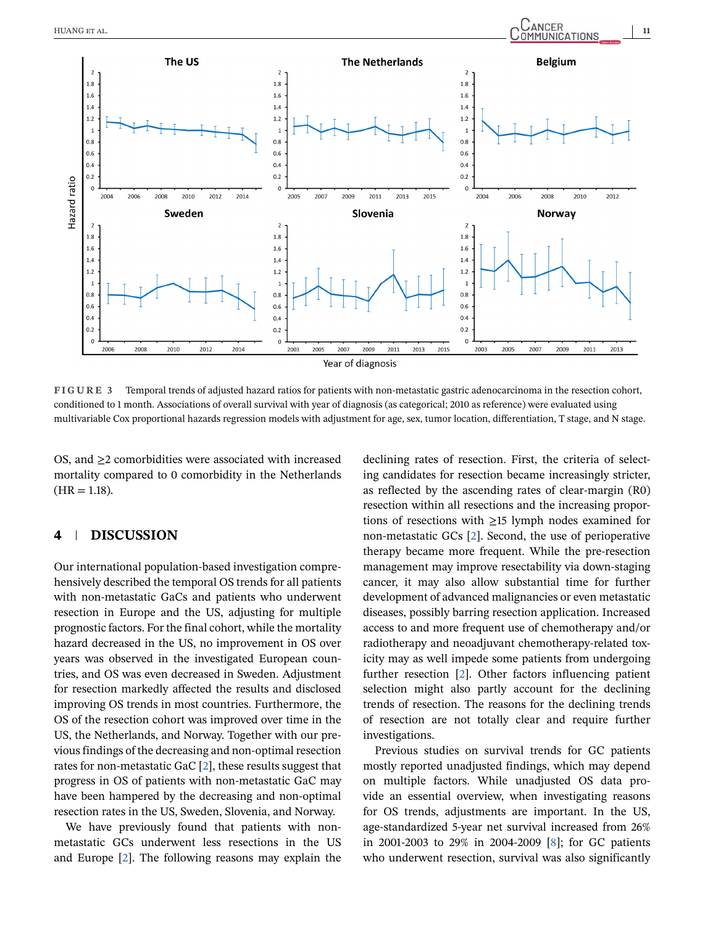<span id="page-10-0"></span>

**FIGURE 3** Temporal trends of adjusted hazard ratios for patients with non-metastatic gastric adenocarcinoma in the resection cohort, conditioned to 1 month. Associations of overall survival with year of diagnosis (as categorical; 2010 as reference) were evaluated using multivariable Cox proportional hazards regression models with adjustment for age, sex, tumor location, differentiation, T stage, and N stage.

OS, and  $\geq$  comorbidities were associated with increased mortality compared to 0 comorbidity in the Netherlands  $(HR = 1.18).$ 

# **4 DISCUSSION**

Our international population-based investigation comprehensively described the temporal OS trends for all patients with non-metastatic GaCs and patients who underwent resection in Europe and the US, adjusting for multiple prognostic factors. For the final cohort, while the mortality hazard decreased in the US, no improvement in OS over years was observed in the investigated European countries, and OS was even decreased in Sweden. Adjustment for resection markedly affected the results and disclosed improving OS trends in most countries. Furthermore, the OS of the resection cohort was improved over time in the US, the Netherlands, and Norway. Together with our previous findings of the decreasing and non-optimal resection rates for non-metastatic GaC [\[2\]](#page-13-0), these results suggest that progress in OS of patients with non-metastatic GaC may have been hampered by the decreasing and non-optimal resection rates in the US, Sweden, Slovenia, and Norway.

We have previously found that patients with nonmetastatic GCs underwent less resections in the US and Europe [\[2\]](#page-13-0). The following reasons may explain the declining rates of resection. First, the criteria of selecting candidates for resection became increasingly stricter, as reflected by the ascending rates of clear-margin (R0) resection within all resections and the increasing proportions of resections with ≥15 lymph nodes examined for non-metastatic GCs [\[2\]](#page-13-0). Second, the use of perioperative therapy became more frequent. While the pre-resection management may improve resectability via down-staging cancer, it may also allow substantial time for further development of advanced malignancies or even metastatic diseases, possibly barring resection application. Increased access to and more frequent use of chemotherapy and/or radiotherapy and neoadjuvant chemotherapy-related toxicity may as well impede some patients from undergoing further resection [\[2\]](#page-13-0). Other factors influencing patient selection might also partly account for the declining trends of resection. The reasons for the declining trends of resection are not totally clear and require further investigations.

Previous studies on survival trends for GC patients mostly reported unadjusted findings, which may depend on multiple factors. While unadjusted OS data provide an essential overview, when investigating reasons for OS trends, adjustments are important. In the US, age-standardized 5-year net survival increased from 26% in 2001-2003 to 29% in 2004-2009 [\[8\]](#page-13-0); for GC patients who underwent resection, survival was also significantly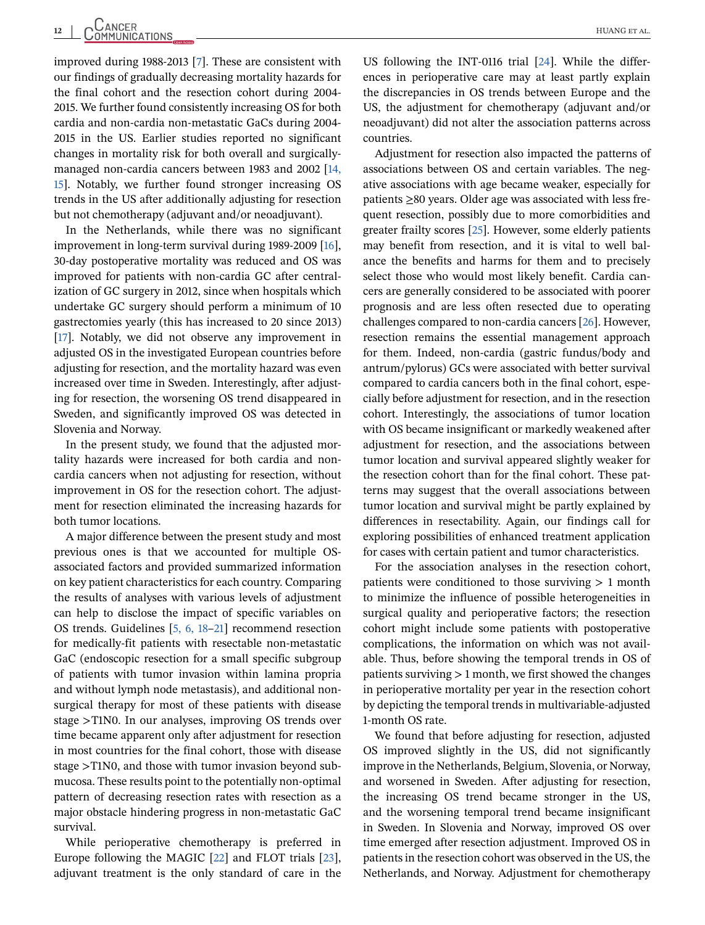improved during 1988-2013 [\[7\]](#page-13-0). These are consistent with our findings of gradually decreasing mortality hazards for the final cohort and the resection cohort during 2004- 2015. We further found consistently increasing OS for both cardia and non-cardia non-metastatic GaCs during 2004- 2015 in the US. Earlier studies reported no significant changes in mortality risk for both overall and surgicallymanaged non-cardia cancers between 1983 and 2002 [\[14,](#page-14-0) [15\]](#page-14-0). Notably, we further found stronger increasing OS trends in the US after additionally adjusting for resection but not chemotherapy (adjuvant and/or neoadjuvant).

In the Netherlands, while there was no significant improvement in long-term survival during 1989-2009 [\[16\]](#page-14-0), 30-day postoperative mortality was reduced and OS was improved for patients with non-cardia GC after centralization of GC surgery in 2012, since when hospitals which undertake GC surgery should perform a minimum of 10 gastrectomies yearly (this has increased to 20 since 2013) [\[17\]](#page-14-0). Notably, we did not observe any improvement in adjusted OS in the investigated European countries before adjusting for resection, and the mortality hazard was even increased over time in Sweden. Interestingly, after adjusting for resection, the worsening OS trend disappeared in Sweden, and significantly improved OS was detected in Slovenia and Norway.

In the present study, we found that the adjusted mortality hazards were increased for both cardia and noncardia cancers when not adjusting for resection, without improvement in OS for the resection cohort. The adjustment for resection eliminated the increasing hazards for both tumor locations.

A major difference between the present study and most previous ones is that we accounted for multiple OSassociated factors and provided summarized information on key patient characteristics for each country. Comparing the results of analyses with various levels of adjustment can help to disclose the impact of specific variables on OS trends. Guidelines [\[5, 6, 18–](#page-13-0)[21\]](#page-14-0) recommend resection for medically-fit patients with resectable non-metastatic GaC (endoscopic resection for a small specific subgroup of patients with tumor invasion within lamina propria and without lymph node metastasis), and additional nonsurgical therapy for most of these patients with disease stage >T1N0. In our analyses, improving OS trends over time became apparent only after adjustment for resection in most countries for the final cohort, those with disease stage >T1N0, and those with tumor invasion beyond submucosa. These results point to the potentially non-optimal pattern of decreasing resection rates with resection as a major obstacle hindering progress in non-metastatic GaC survival.

While perioperative chemotherapy is preferred in Europe following the MAGIC [\[22\]](#page-14-0) and FLOT trials [\[23\]](#page-14-0), adjuvant treatment is the only standard of care in the

US following the INT-0116 trial [\[24\]](#page-14-0). While the differences in perioperative care may at least partly explain the discrepancies in OS trends between Europe and the US, the adjustment for chemotherapy (adjuvant and/or neoadjuvant) did not alter the association patterns across countries.

Adjustment for resection also impacted the patterns of associations between OS and certain variables. The negative associations with age became weaker, especially for patients ≥80 years. Older age was associated with less frequent resection, possibly due to more comorbidities and greater frailty scores [\[25\]](#page-14-0). However, some elderly patients may benefit from resection, and it is vital to well balance the benefits and harms for them and to precisely select those who would most likely benefit. Cardia cancers are generally considered to be associated with poorer prognosis and are less often resected due to operating challenges compared to non-cardia cancers [\[26\]](#page-14-0). However, resection remains the essential management approach for them. Indeed, non-cardia (gastric fundus/body and antrum/pylorus) GCs were associated with better survival compared to cardia cancers both in the final cohort, especially before adjustment for resection, and in the resection cohort. Interestingly, the associations of tumor location with OS became insignificant or markedly weakened after adjustment for resection, and the associations between tumor location and survival appeared slightly weaker for the resection cohort than for the final cohort. These patterns may suggest that the overall associations between tumor location and survival might be partly explained by differences in resectability. Again, our findings call for exploring possibilities of enhanced treatment application for cases with certain patient and tumor characteristics.

For the association analyses in the resection cohort, patients were conditioned to those surviving  $> 1$  month to minimize the influence of possible heterogeneities in surgical quality and perioperative factors; the resection cohort might include some patients with postoperative complications, the information on which was not available. Thus, before showing the temporal trends in OS of patients surviving > 1 month, we first showed the changes in perioperative mortality per year in the resection cohort by depicting the temporal trends in multivariable-adjusted 1-month OS rate.

We found that before adjusting for resection, adjusted OS improved slightly in the US, did not significantly improve in the Netherlands, Belgium, Slovenia, or Norway, and worsened in Sweden. After adjusting for resection, the increasing OS trend became stronger in the US, and the worsening temporal trend became insignificant in Sweden. In Slovenia and Norway, improved OS over time emerged after resection adjustment. Improved OS in patients in the resection cohort was observed in the US, the Netherlands, and Norway. Adjustment for chemotherapy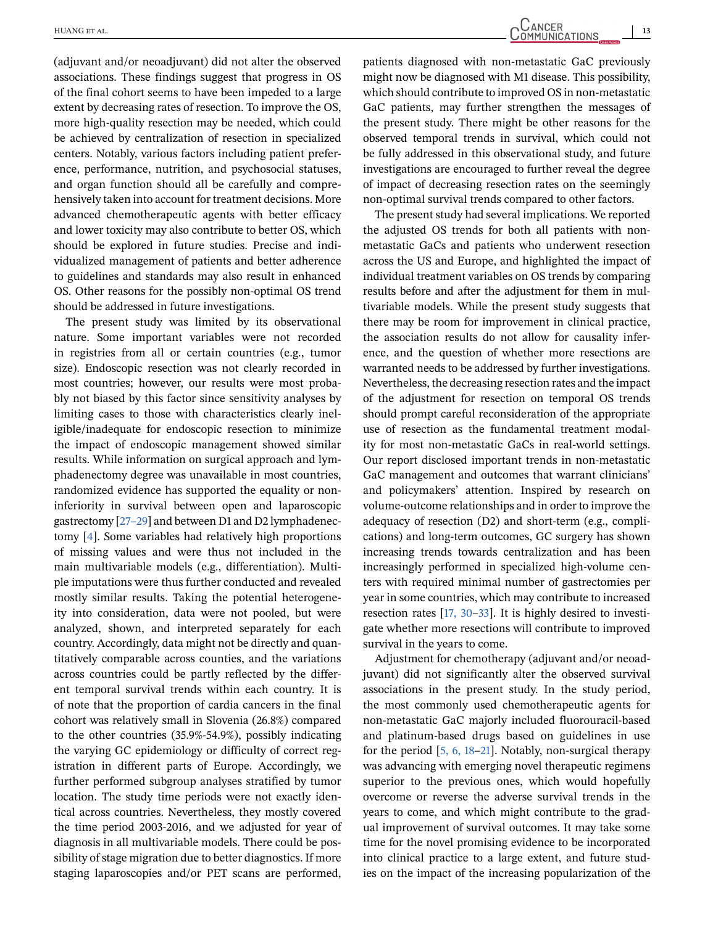(adjuvant and/or neoadjuvant) did not alter the observed associations. These findings suggest that progress in OS of the final cohort seems to have been impeded to a large extent by decreasing rates of resection. To improve the OS, more high-quality resection may be needed, which could be achieved by centralization of resection in specialized centers. Notably, various factors including patient preference, performance, nutrition, and psychosocial statuses, and organ function should all be carefully and comprehensively taken into account for treatment decisions. More advanced chemotherapeutic agents with better efficacy and lower toxicity may also contribute to better OS, which should be explored in future studies. Precise and individualized management of patients and better adherence to guidelines and standards may also result in enhanced OS. Other reasons for the possibly non-optimal OS trend should be addressed in future investigations.

The present study was limited by its observational nature. Some important variables were not recorded in registries from all or certain countries (e.g., tumor size). Endoscopic resection was not clearly recorded in most countries; however, our results were most probably not biased by this factor since sensitivity analyses by limiting cases to those with characteristics clearly ineligible/inadequate for endoscopic resection to minimize the impact of endoscopic management showed similar results. While information on surgical approach and lymphadenectomy degree was unavailable in most countries, randomized evidence has supported the equality or noninferiority in survival between open and laparoscopic gastrectomy [\[27–29\]](#page-14-0) and between D1 and D2 lymphadenectomy [\[4\]](#page-13-0). Some variables had relatively high proportions of missing values and were thus not included in the main multivariable models (e.g., differentiation). Multiple imputations were thus further conducted and revealed mostly similar results. Taking the potential heterogeneity into consideration, data were not pooled, but were analyzed, shown, and interpreted separately for each country. Accordingly, data might not be directly and quantitatively comparable across counties, and the variations across countries could be partly reflected by the different temporal survival trends within each country. It is of note that the proportion of cardia cancers in the final cohort was relatively small in Slovenia (26.8%) compared to the other countries (35.9%-54.9%), possibly indicating the varying GC epidemiology or difficulty of correct registration in different parts of Europe. Accordingly, we further performed subgroup analyses stratified by tumor location. The study time periods were not exactly identical across countries. Nevertheless, they mostly covered the time period 2003-2016, and we adjusted for year of diagnosis in all multivariable models. There could be possibility of stage migration due to better diagnostics. If more staging laparoscopies and/or PET scans are performed,

HUANG ET AL. **13**<br>
COMMUNICATIONS

patients diagnosed with non-metastatic GaC previously might now be diagnosed with M1 disease. This possibility, which should contribute to improved OS in non-metastatic GaC patients, may further strengthen the messages of the present study. There might be other reasons for the observed temporal trends in survival, which could not be fully addressed in this observational study, and future investigations are encouraged to further reveal the degree of impact of decreasing resection rates on the seemingly non-optimal survival trends compared to other factors.

The present study had several implications. We reported the adjusted OS trends for both all patients with nonmetastatic GaCs and patients who underwent resection across the US and Europe, and highlighted the impact of individual treatment variables on OS trends by comparing results before and after the adjustment for them in multivariable models. While the present study suggests that there may be room for improvement in clinical practice, the association results do not allow for causality inference, and the question of whether more resections are warranted needs to be addressed by further investigations. Nevertheless, the decreasing resection rates and the impact of the adjustment for resection on temporal OS trends should prompt careful reconsideration of the appropriate use of resection as the fundamental treatment modality for most non-metastatic GaCs in real-world settings. Our report disclosed important trends in non-metastatic GaC management and outcomes that warrant clinicians' and policymakers' attention. Inspired by research on volume-outcome relationships and in order to improve the adequacy of resection (D2) and short-term (e.g., complications) and long-term outcomes, GC surgery has shown increasing trends towards centralization and has been increasingly performed in specialized high-volume centers with required minimal number of gastrectomies per year in some countries, which may contribute to increased resection rates [\[17, 30–33\]](#page-14-0). It is highly desired to investigate whether more resections will contribute to improved survival in the years to come.

Adjustment for chemotherapy (adjuvant and/or neoadjuvant) did not significantly alter the observed survival associations in the present study. In the study period, the most commonly used chemotherapeutic agents for non-metastatic GaC majorly included fluorouracil-based and platinum-based drugs based on guidelines in use for the period [\[5, 6, 18–](#page-13-0)[21\]](#page-14-0). Notably, non-surgical therapy was advancing with emerging novel therapeutic regimens superior to the previous ones, which would hopefully overcome or reverse the adverse survival trends in the years to come, and which might contribute to the gradual improvement of survival outcomes. It may take some time for the novel promising evidence to be incorporated into clinical practice to a large extent, and future studies on the impact of the increasing popularization of the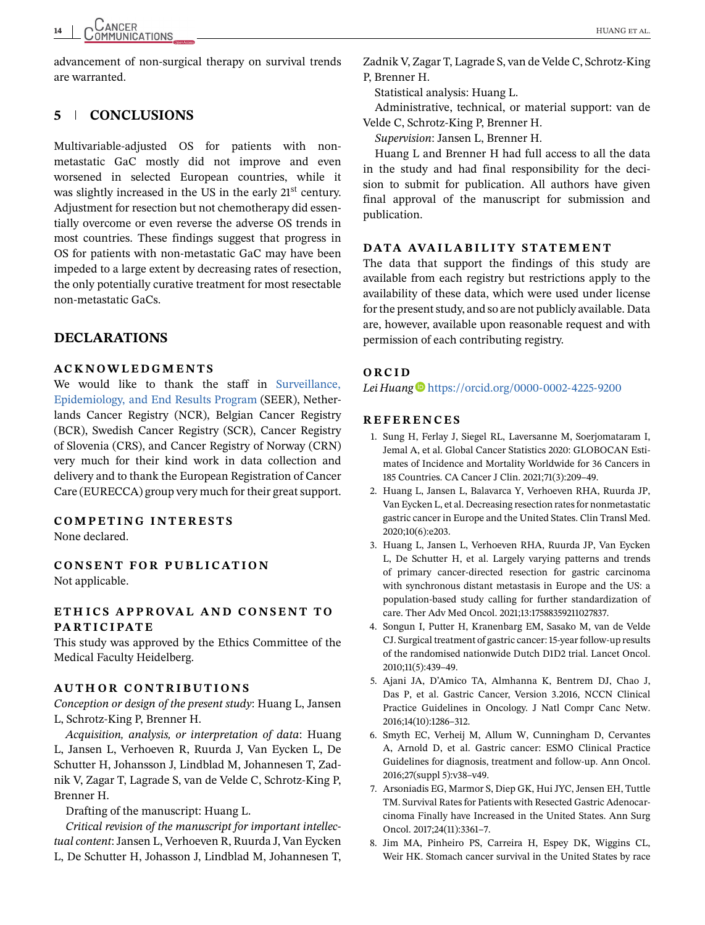<span id="page-13-0"></span>advancement of non-surgical therapy on survival trends are warranted.

# **5 CONCLUSIONS**

Multivariable-adjusted OS for patients with nonmetastatic GaC mostly did not improve and even worsened in selected European countries, while it was slightly increased in the US in the early 21<sup>st</sup> century. Adjustment for resection but not chemotherapy did essentially overcome or even reverse the adverse OS trends in most countries. These findings suggest that progress in OS for patients with non-metastatic GaC may have been impeded to a large extent by decreasing rates of resection, the only potentially curative treatment for most resectable non-metastatic GaCs.

# **DECLARATIONS**

#### **ACKNOWLEDGMENTS**

We would like to thank the staff in [Surveillance,](http://seer.cancer.gov/) [Epidemiology, and End Results Program](http://seer.cancer.gov/) (SEER), Netherlands Cancer Registry (NCR), Belgian Cancer Registry (BCR), Swedish Cancer Registry (SCR), Cancer Registry of Slovenia (CRS), and Cancer Registry of Norway (CRN) very much for their kind work in data collection and delivery and to thank the European Registration of Cancer Care (EURECCA) group very much for their great support.

#### **COMPETING INTERESTS** None declared.

**CONSENT FOR PUBLICATION** Not applicable.

## **ETH ICS APPROVAL AND CONSENT TO PARTICIPATE**

This study was approved by the Ethics Committee of the Medical Faculty Heidelberg.

#### **AUTHOR CONTRIBUTIONS**

*Conception or design of the present study*: Huang L, Jansen L, Schrotz-King P, Brenner H.

*Acquisition, analysis, or interpretation of data*: Huang L, Jansen L, Verhoeven R, Ruurda J, Van Eycken L, De Schutter H, Johansson J, Lindblad M, Johannesen T, Zadnik V, Zagar T, Lagrade S, van de Velde C, Schrotz-King P, Brenner H.

Drafting of the manuscript: Huang L.

*Critical revision of the manuscript for important intellectual content*: Jansen L, Verhoeven R, Ruurda J, Van Eycken L, De Schutter H, Johasson J, Lindblad M, Johannesen T,

Zadnik V, Zagar T, Lagrade S, van de Velde C, Schrotz-King P, Brenner H.

Statistical analysis: Huang L.

Administrative, technical, or material support: van de Velde C, Schrotz-King P, Brenner H.

*Supervision*: Jansen L, Brenner H.

Huang L and Brenner H had full access to all the data in the study and had final responsibility for the decision to submit for publication. All authors have given final approval of the manuscript for submission and publication.

#### **DATA AVAILABILITY STATEMENT**

The data that support the findings of this study are available from each registry but restrictions apply to the availability of these data, which were used under license for the present study, and so are not publicly available. Data are, however, available upon reasonable request and with permission of each contributing registry.

## **ORCID**

*Lei Huang* <https://orcid.org/0000-0002-4225-9200>

#### **REFERENCES**

- 1. Sung H, Ferlay J, Siegel RL, Laversanne M, Soerjomataram I, Jemal A, et al. Global Cancer Statistics 2020: GLOBOCAN Estimates of Incidence and Mortality Worldwide for 36 Cancers in 185 Countries. CA Cancer J Clin. 2021;71(3):209–49.
- 2. Huang L, Jansen L, Balavarca Y, Verhoeven RHA, Ruurda JP, Van Eycken L, et al. Decreasing resection rates for nonmetastatic gastric cancer in Europe and the United States. Clin Transl Med. 2020;10(6):e203.
- 3. Huang L, Jansen L, Verhoeven RHA, Ruurda JP, Van Eycken L, De Schutter H, et al. Largely varying patterns and trends of primary cancer-directed resection for gastric carcinoma with synchronous distant metastasis in Europe and the US: a population-based study calling for further standardization of care. Ther Adv Med Oncol. 2021;13:17588359211027837.
- 4. Songun I, Putter H, Kranenbarg EM, Sasako M, van de Velde CJ. Surgical treatment of gastric cancer: 15-year follow-up results of the randomised nationwide Dutch D1D2 trial. Lancet Oncol. 2010;11(5):439–49.
- 5. Ajani JA, D'Amico TA, Almhanna K, Bentrem DJ, Chao J, Das P, et al. Gastric Cancer, Version 3.2016, NCCN Clinical Practice Guidelines in Oncology. J Natl Compr Canc Netw. 2016;14(10):1286–312.
- 6. Smyth EC, Verheij M, Allum W, Cunningham D, Cervantes A, Arnold D, et al. Gastric cancer: ESMO Clinical Practice Guidelines for diagnosis, treatment and follow-up. Ann Oncol. 2016;27(suppl 5):v38–v49.
- 7. Arsoniadis EG, Marmor S, Diep GK, Hui JYC, Jensen EH, Tuttle TM. Survival Rates for Patients with Resected Gastric Adenocarcinoma Finally have Increased in the United States. Ann Surg Oncol. 2017;24(11):3361–7.
- 8. Jim MA, Pinheiro PS, Carreira H, Espey DK, Wiggins CL, Weir HK. Stomach cancer survival in the United States by race